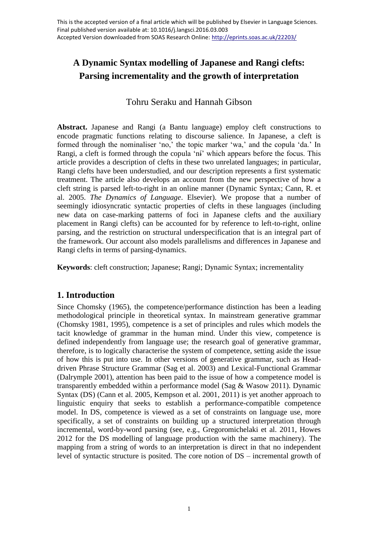# **A Dynamic Syntax modelling of Japanese and Rangi clefts: Parsing incrementality and the growth of interpretation**

## Tohru Seraku and Hannah Gibson

**Abstract.** Japanese and Rangi (a Bantu language) employ cleft constructions to encode pragmatic functions relating to discourse salience. In Japanese, a cleft is formed through the nominaliser 'no,' the topic marker 'wa,' and the copula 'da.' In Rangi, a cleft is formed through the copula "ní" which appears before the focus. This article provides a description of clefts in these two unrelated languages; in particular, Rangi clefts have been understudied, and our description represents a first systematic treatment. The article also develops an account from the new perspective of how a cleft string is parsed left-to-right in an online manner (Dynamic Syntax; Cann, R. et al. 2005. *The Dynamics of Language*. Elsevier). We propose that a number of seemingly idiosyncratic syntactic properties of clefts in these languages (including new data on case-marking patterns of foci in Japanese clefts and the auxiliary placement in Rangi clefts) can be accounted for by reference to left-to-right, online parsing, and the restriction on structural underspecification that is an integral part of the framework. Our account also models parallelisms and differences in Japanese and Rangi clefts in terms of parsing-dynamics.

**Keywords**: cleft construction; Japanese; Rangi; Dynamic Syntax; incrementality

## **1. Introduction**

Since Chomsky (1965), the competence/performance distinction has been a leading methodological principle in theoretical syntax. In mainstream generative grammar (Chomsky 1981, 1995), competence is a set of principles and rules which models the tacit knowledge of grammar in the human mind. Under this view, competence is defined independently from language use; the research goal of generative grammar, therefore, is to logically characterise the system of competence, setting aside the issue of how this is put into use. In other versions of generative grammar, such as Headdriven Phrase Structure Grammar (Sag et al. 2003) and Lexical-Functional Grammar (Dalrymple 2001), attention has been paid to the issue of how a competence model is transparently embedded within a performance model (Sag & Wasow 2011). Dynamic Syntax (DS) (Cann et al. 2005, Kempson et al. 2001, 2011) is yet another approach to linguistic enquiry that seeks to establish a performance-compatible competence model. In DS, competence is viewed as a set of constraints on language use, more specifically, a set of constraints on building up a structured interpretation through incremental, word-by-word parsing (see, e.g., Gregoromichelaki et al. 2011, Howes 2012 for the DS modelling of language production with the same machinery). The mapping from a string of words to an interpretation is direct in that no independent level of syntactic structure is posited. The core notion of DS – incremental growth of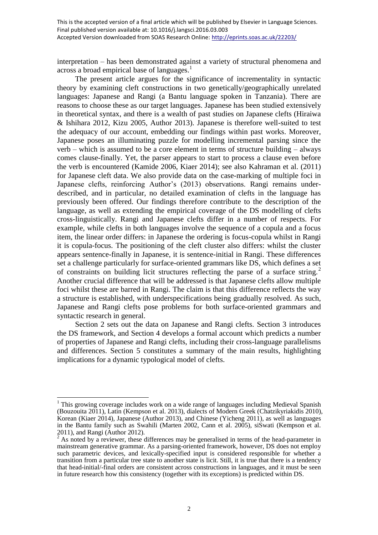interpretation – has been demonstrated against a variety of structural phenomena and across a broad empirical base of languages. $<sup>1</sup>$ </sup>

The present article argues for the significance of incrementality in syntactic theory by examining cleft constructions in two genetically/geographically unrelated languages: Japanese and Rangi (a Bantu language spoken in Tanzania). There are reasons to choose these as our target languages. Japanese has been studied extensively in theoretical syntax, and there is a wealth of past studies on Japanese clefts (Hiraiwa & Ishihara 2012, Kizu 2005, Author 2013). Japanese is therefore well-suited to test the adequacy of our account, embedding our findings within past works. Moreover, Japanese poses an illuminating puzzle for modelling incremental parsing since the verb – which is assumed to be a core element in terms of structure building – always comes clause-finally. Yet, the parser appears to start to process a clause even before the verb is encountered (Kamide 2006, Kiaer 2014); see also Kahraman et al. (2011) for Japanese cleft data. We also provide data on the case-marking of multiple foci in Japanese clefts, reinforcing Author's (2013) observations. Rangi remains underdescribed, and in particular, no detailed examination of clefts in the language has previously been offered. Our findings therefore contribute to the description of the language, as well as extending the empirical coverage of the DS modelling of clefts cross-linguistically. Rangi and Japanese clefts differ in a number of respects. For example, while clefts in both languages involve the sequence of a copula and a focus item, the linear order differs: in Japanese the ordering is focus-copula whilst in Rangi it is copula-focus. The positioning of the cleft cluster also differs: whilst the cluster appears sentence-finally in Japanese, it is sentence-initial in Rangi. These differences set a challenge particularly for surface-oriented grammars like DS, which defines a set of constraints on building licit structures reflecting the parse of a surface string.<sup>2</sup> Another crucial difference that will be addressed is that Japanese clefts allow multiple foci whilst these are barred in Rangi. The claim is that this difference reflects the way a structure is established, with underspecifications being gradually resolved. As such, Japanese and Rangi clefts pose problems for both surface-oriented grammars and syntactic research in general.

Section 2 sets out the data on Japanese and Rangi clefts. Section 3 introduces the DS framework, and Section 4 develops a formal account which predicts a number of properties of Japanese and Rangi clefts, including their cross-language parallelisms and differences. Section 5 constitutes a summary of the main results, highlighting implications for a dynamic typological model of clefts.

 1 This growing coverage includes work on a wide range of languages including Medieval Spanish (Bouzouita 2011), Latin (Kempson et al. 2013), dialects of Modern Greek (Chatzikyriakidis 2010), Korean (Kiaer 2014), Japanese (Author 2013), and Chinese (Yicheng 2011), as well as languages in the Bantu family such as Swahili (Marten 2002, Cann et al. 2005), siSwati (Kempson et al. 2011), and Rangi (Author 2012).

 $2^{2}$  As noted by a reviewer, these differences may be generalised in terms of the head-parameter in mainstream generative grammar. As a parsing-oriented framework, however, DS does not employ such parametric devices, and lexically-specified input is considered responsible for whether a transition from a particular tree state to another state is licit. Still, it is true that there is a tendency that head-initial/-final orders are consistent across constructions in languages, and it must be seen in future research how this consistency (together with its exceptions) is predicted within DS.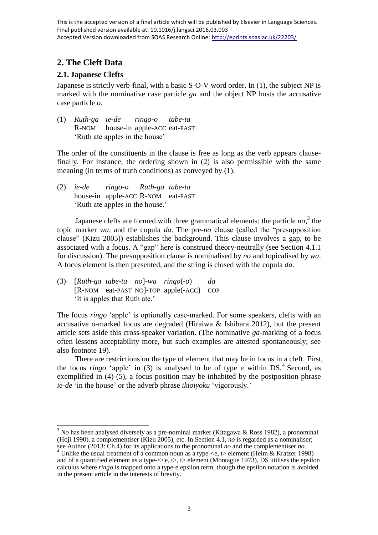## **2. The Cleft Data**

## **2.1. Japanese Clefts**

Japanese is strictly verb-final, with a basic S-O-V word order. In [\(1\),](#page-2-0) the subject NP is marked with the nominative case particle *ga* and the object NP hosts the accusative case particle *o*.

<span id="page-2-0"></span>(1) *Ruth-ga ie-de ringo-o tabe-ta* R-NOM house-in apple-ACC eat-PAST 'Ruth ate apples in the house'

The order of the constituents in the clause is free as long as the verb appears clausefinally. For instance, the ordering shown in [\(2\)](#page-2-1) is also permissible with the same meaning (in terms of truth conditions) as conveyed by [\(1\).](#page-2-0)

<span id="page-2-1"></span>(2) *ie-de ringo-o Ruth-ga tabe-ta* house-in apple-ACC R-NOM eat-PAST 'Ruth ate apples in the house.'

Japanese clefts are formed with three grammatical elements: the particle *no*, 3 the topic marker *wa*, and the copula *da*. The pre-*no* clause (called the "presupposition clause" (Kizu 2005)) establishes the background. This clause involves a gap, to be associated with a focus. A "gap" here is construed theory-neutrally (see Section 4.1.1 for discussion). The presupposition clause is nominalised by *no* and topicalised by *wa*. A focus element is then presented, and the string is closed with the copula *da*.

<span id="page-2-2"></span>(3) [*Ruth-ga tabe-ta no*]-*wa ringo*(-*o*) *da* [R-NOM eat-PAST NO]-TOP apple(-ACC) COP "It is apples that Ruth ate."

The focus *ringo* "apple" is optionally case-marked. For some speakers, clefts with an accusative *o*-marked focus are degraded (Hiraiwa & Ishihara 2012), but the present article sets aside this cross-speaker variation. (The nominative *ga*-marking of a focus often lessens acceptability more, but such examples are attested spontaneously; see also footnote [19\)](#page-18-0).

There are restrictions on the type of element that may be in focus in a cleft. First, the focus *ringo* 'apple' in  $(3)$  is analysed to be of type e within DS.<sup>4</sup> Second, as exemplified in [\(4\)-](#page-3-0)[\(5\),](#page-3-1) a focus position may be inhabited by the postposition phrase *ie-de* 'in the house' or the adverb phrase *ikioiyoku* 'vigorously.'

 $\overline{a}$ <sup>3</sup> *No* has been analysed diversely as a pre-nominal marker (Kitagawa & Ross 1982), a pronominal (Hoji 1990), a complementiser (Kizu 2005), etc. In Section 4.1, *no* is regarded as a nominaliser; see Author (2013: Ch.4) for its applications to the pronominal *no* and the complementiser *no*.

Unlike the usual treatment of a common noun as a type- $\lt e$ , t element (Heim & Kratzer 1998) and of a quantified element as a type- $<,  $t$ ,  $t$  element (Montague 1973), DS utilises the epsilon$ calculus where *ringo* is mapped onto a type-e epsilon term, though the epsilon notation is avoided in the present article in the interests of brevity.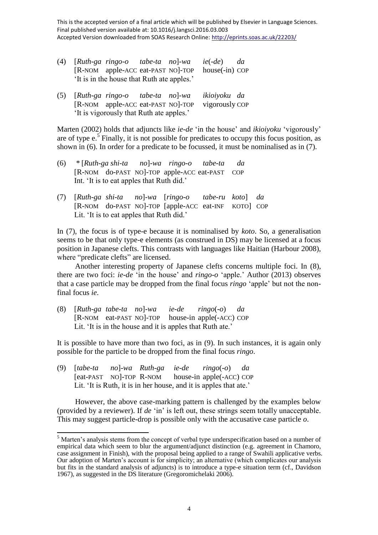<span id="page-3-0"></span>

|  | $(4)$ [Ruth-ga ringo-o tabe-ta no]-wa<br>[R-NOM apple-ACC eat-PAST NO]-TOP<br>'It is in the house that Ruth ate apples.' |  | $ie(-de)$<br>$house(-in)$ COP | da |
|--|--------------------------------------------------------------------------------------------------------------------------|--|-------------------------------|----|
|  | $(5)$ [Ruth-ga ringo-o tabe-ta no]-wa                                                                                    |  | ikioiyoku da                  |    |

<span id="page-3-1"></span>[R-NOM apple-ACC eat-PAST NO]-TOP vigorously COP "It is vigorously that Ruth ate apples."

Marten (2002) holds that adjuncts like *ie-de* 'in the house' and *ikioiyoku* 'vigorously' are of type e.<sup>5</sup> Finally, it is not possible for predicates to occupy this focus position, as shown in [\(6\).](#page-3-2) In order for a predicate to be focussed, it must be nominalised as in [\(7\).](#page-3-3)

- <span id="page-3-2"></span>(6) \* [*Ruth-ga shi-ta no*]-*wa ringo*-*o tabe-ta da* [R-NOM do-PAST NO]-TOP apple-ACC eat-PAST COP Int. 'It is to eat apples that Ruth did.'
- <span id="page-3-3"></span>(7) [*Ruth-ga shi-ta no*]-*wa* [*ringo*-*o tabe-ru koto*] *da* [R-NOM do-PAST NO]-TOP [apple-ACC eat-INF KOTO] COP Lit. 'It is to eat apples that Ruth did.'

In [\(7\),](#page-3-3) the focus is of type-e because it is nominalised by *koto*. So, a generalisation seems to be that only type-e elements (as construed in DS) may be licensed at a focus position in Japanese clefts. This contrasts with languages like Haitian (Harbour 2008), where "predicate clefts" are licensed.

Another interesting property of Japanese clefts concerns multiple foci. In [\(8\),](#page-3-4) there are two foci: *ie-de* "in the house" and *ringo-o* "apple." Author (2013) observes that a case particle may be dropped from the final focus *ringo* "apple" but not the nonfinal focus *ie*.

<span id="page-3-4"></span>(8) [*Ruth-ga tabe-ta no*]-*wa ie-de ringo*(-*o*) *da* [R-NOM eat-PAST NO]-TOP house-in apple(-ACC) COP Lit. 'It is in the house and it is apples that Ruth ate.'

It is possible to have more than two foci, as in [\(9\).](#page-3-5) In such instances, it is again only possible for the particle to be dropped from the final focus *ringo*.

<span id="page-3-5"></span>(9) [*tabe-ta no*]-*wa Ruth-ga ie-de ringo*(-*o*) *da* [eat-PAST NO]-TOP R-NOM house-in apple(-ACC) COP Lit. 'It is Ruth, it is in her house, and it is apples that ate.'

However, the above case-marking pattern is challenged by the examples below (provided by a reviewer). If *de* "in" is left out, these strings seem totally unacceptable. This may suggest particle-drop is possible only with the accusative case particle *o*.

 $\overline{a}$  $<sup>5</sup>$  Marten's analysis stems from the concept of verbal type underspecification based on a number of</sup> empirical data which seem to blur the argument/adjunct distinction (e.g. agreement in Chamoro, case assignment in Finish), with the proposal being applied to a range of Swahili applicative verbs. Our adoption of Marten's account is for simplicity; an alternative (which complicates our analysis but fits in the standard analysis of adjuncts) is to introduce a type-e situation term (cf., Davidson 1967), as suggested in the DS literature (Gregoromichelaki 2006).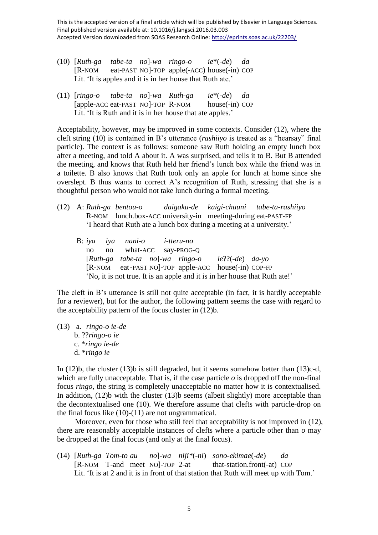- <span id="page-4-1"></span>(10) [*Ruth-ga tabe-ta no*]-*wa ringo*-*o ie*\*(*-de*) *da* [R-NOM eat-PAST NO]-TOP apple(-ACC) house(-in) COP Lit. 'It is apples and it is in her house that Ruth ate.'
- <span id="page-4-3"></span>(11) [*ringo-o tabe-ta no*]-*wa Ruth-ga ie*\*(*-de*) *da* [apple-ACC eat-PAST NO]-TOP R-NOM house(-in) COP Lit. 'It is Ruth and it is in her house that ate apples.'

Acceptability, however, may be improved in some contexts. Consider [\(12\),](#page-4-0) where the cleft string [\(10\)](#page-4-1) is contained in B"s utterance (*rashiiyo* is treated as a "hearsay" final particle). The context is as follows: someone saw Ruth holding an empty lunch box after a meeting, and told A about it. A was surprised, and tells it to B. But B attended the meeting, and knows that Ruth held her friend"s lunch box while the friend was in a toilette. B also knows that Ruth took only an apple for lunch at home since she overslept. B thus wants to correct A"s recognition of Ruth, stressing that she is a thoughtful person who would not take lunch during a formal meeting.

<span id="page-4-0"></span>(12) A: *Ruth-ga bentou*-*o daigaku-de kaigi-chuuni tabe-ta-rashiiyo* R-NOM lunch.box-ACC university-in meeting-during eat-PAST-FP "I heard that Ruth ate a lunch box during a meeting at a university."

B: *iya iya nani-o i-tteru-no* no no what-ACC say-PROG-Q [*Ruth-ga tabe-ta no*]-*wa ringo-o ie*??(-*de*) *da-yo* [R-NOM eat-PAST NO]-TOP apple-ACC house(-in) COP-FP "No, it is not true. It is an apple and it is in her house that Ruth ate!"

The cleft in B's utterance is still not quite acceptable (in fact, it is hardly acceptable for a reviewer), but for the author, the following pattern seems the case with regard to the acceptability pattern of the focus cluster in [\(12\)b](#page-4-0).

<span id="page-4-2"></span>(13) a. *ringo-o ie-de* b. ??*ringo-o ie* c. \**ringo ie-de* d. \**ringo ie*

In [\(12\)b](#page-4-0), the cluster [\(13\)b](#page-4-2) is still degraded, but it seems somehow better than [\(13\)c](#page-4-2)-d, which are fully unacceptable. That is, if the case particle  $o$  is dropped off the non-final focus *ringo*, the string is completely unacceptable no matter how it is contextualised. In addition, [\(12\)b](#page-4-0) with the cluster [\(13\)b](#page-4-2) seems (albeit slightly) more acceptable than the decontextualised one [\(10\).](#page-4-1) We therefore assume that clefts with particle-drop on the final focus like [\(10\)-](#page-4-1)[\(11\)](#page-4-3) are not ungrammatical.

Moreover, even for those who still feel that acceptability is not improved in [\(12\),](#page-4-0) there are reasonably acceptable instances of clefts where a particle other than *o* may be dropped at the final focus (and only at the final focus).

<span id="page-4-4"></span>(14) [*Ruth-ga Tom-to au no*]-*wa niji\**(-*ni*) *sono*-*ekimae*(*-de*) *da* [R-NOM T-and meet NO]-TOP 2-at that-station.front(-at) COP Lit. 'It is at 2 and it is in front of that station that Ruth will meet up with Tom.'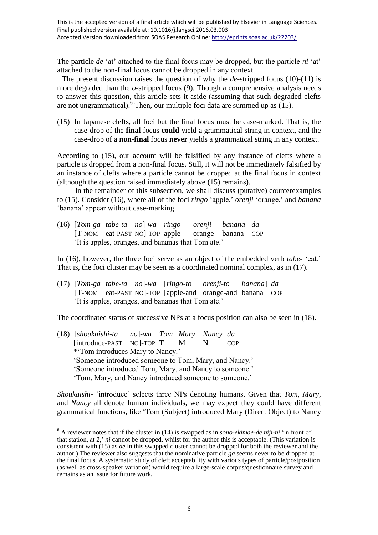The particle *de* 'at' attached to the final focus may be dropped, but the particle *ni* 'at' attached to the non-final focus cannot be dropped in any context.

The present discussion raises the question of why the *de*-stripped focus [\(10\)](#page-4-1)[-\(11\)](#page-4-3) is more degraded than the *o*-stripped focus [\(9\).](#page-3-5) Though a comprehensive analysis needs to answer this question, this article sets it aside (assuming that such degraded clefts are not ungrammatical). <sup>6</sup> Then, our multiple foci data are summed up as  $(15)$ .

<span id="page-5-0"></span>(15) In Japanese clefts, all foci but the final focus must be case-marked. That is, the case-drop of the **final** focus **could** yield a grammatical string in context, and the case-drop of a **non-final** focus **never** yields a grammatical string in any context.

According to [\(15\),](#page-5-0) our account will be falsified by any instance of clefts where a particle is dropped from a non-final focus. Still, it will not be immediately falsified by an instance of clefts where a particle cannot be dropped at the final focus in context (although the question raised immediately above [\(15\)](#page-5-0) remains).

In the remainder of this subsection, we shall discuss (putative) counterexamples to [\(15\).](#page-5-0) Consider [\(16\),](#page-5-1) where all of the foci *ringo* "apple," *orenji* "orange," and *banana* "banana" appear without case-marking.

<span id="page-5-1"></span>(16) [*Tom-ga tabe-ta no*]-*wa ringo orenji banana da* [T-NOM eat-PAST NO]-TOP apple orange banana COP 'It is apples, oranges, and bananas that Tom ate.'

In [\(16\),](#page-5-1) however, the three foci serve as an object of the embedded verb *tabe*- "eat." That is, the foci cluster may be seen as a coordinated nominal complex, as in [\(17\).](#page-5-2)

<span id="page-5-2"></span>(17) [*Tom-ga tabe-ta no*]-*wa* [*ringo-to orenji-to banana*] *da* [T-NOM eat-PAST NO]-TOP [apple-and orange-and banana] COP "It is apples, oranges, and bananas that Tom ate."

<span id="page-5-3"></span>The coordinated status of successive NPs at a focus position can also be seen in [\(18\).](#page-5-3)

(18) [*shoukaishi-ta no*]-*wa Tom Mary Nancy da* [introduce-PAST NO]-TOP T M N COP \*"Tom introduces Mary to Nancy." "Someone introduced someone to Tom, Mary, and Nancy." 'Someone introduced Tom, Mary, and Nancy to someone.' 'Tom, Mary, and Nancy introduced someone to someone.'

 $\overline{a}$ 

*Shoukaishi-* "introduce" selects three NPs denoting humans. Given that *Tom*, *Mary*, and *Nancy* all denote human individuals, we may expect they could have different grammatical functions, like "Tom (Subject) introduced Mary (Direct Object) to Nancy

<sup>6</sup> A reviewer notes that if the cluster i[n \(14\)](#page-4-4) is swapped as in *sono-ekimae-de niji-ni* "in front of that station, at 2,' *ni* cannot be dropped, whilst for the author this is acceptable. (This variation is consistent with [\(15\)](#page-5-0) as *de* in this swapped cluster cannot be dropped for both the reviewer and the author.) The reviewer also suggests that the nominative particle *ga* seems never to be dropped at the final focus. A systematic study of cleft acceptability with various types of particle/postposition (as well as cross-speaker variation) would require a large-scale corpus/questionnaire survey and remains as an issue for future work.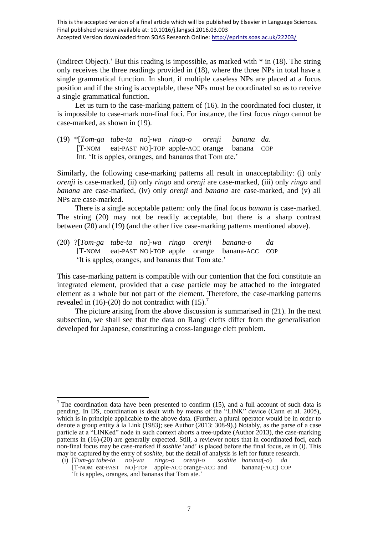(Indirect Object).' But this reading is impossible, as marked with  $*$  in [\(18\).](#page-5-3) The string only receives the three readings provided in [\(18\),](#page-5-3) where the three NPs in total have a single grammatical function. In short, if multiple caseless NPs are placed at a focus position and if the string is acceptable, these NPs must be coordinated so as to receive a single grammatical function.

Let us turn to the case-marking pattern of [\(16\).](#page-5-1) In the coordinated foci cluster, it is impossible to case-mark non-final foci. For instance, the first focus *ringo* cannot be case-marked, as shown in [\(19\).](#page-6-0)

<span id="page-6-0"></span>(19) \*[*Tom-ga tabe-ta no*]-*wa ringo-o orenji banana da*. [T-NOM eat-PAST NO]-TOP apple-ACC orange banana COP Int. 'It is apples, oranges, and bananas that Tom ate.'

Similarly, the following case-marking patterns all result in unacceptability: (i) only *orenji* is case-marked, (ii) only *ringo* and *orenji* are case-marked, (iii) only *ringo* and *banana* are case-marked, (iv) only *orenji* and *banana* are case-marked, and (v) all NPs are case-marked.

There is a single acceptable pattern: only the final focus *banana* is case-marked. The string [\(20\)](#page-6-1) may not be readily acceptable, but there is a sharp contrast between [\(20\)](#page-6-1) and [\(19\)](#page-6-0) (and the other five case-marking patterns mentioned above).

<span id="page-6-1"></span>(20) ?[*Tom-ga tabe-ta no*]-*wa ringo orenji banana-o da* [T-NOM eat-PAST NO]-TOP apple orange banana-ACC COP 'It is apples, oranges, and bananas that Tom ate.'

This case-marking pattern is compatible with our contention that the foci constitute an integrated element, provided that a case particle may be attached to the integrated element as a whole but not part of the element. Therefore, the case-marking patterns revealed in [\(16\)-](#page-5-1)[\(20\)](#page-6-1) do not contradict with  $(15)$ .

<span id="page-6-2"></span>The picture arising from the above discussion is summarised in [\(21\).](#page-7-0) In the next subsection, we shall see that the data on Rangi clefts differ from the generalisation developed for Japanese, constituting a cross-language cleft problem.

<sup>&</sup>lt;sup>7</sup> The coordination data have been presented to confirm [\(15\),](#page-5-0) and a full account of such data is pending. In DS, coordination is dealt with by means of the "LINK" device (Cann et al. 2005), which is in principle applicable to the above data. (Further, a plural operator would be in order to denote a group entity à la Link (1983); see Author (2013: 308-9).) Notably, as the parse of a case particle at a "LINKed" node in such context aborts a tree-update (Author 2013), the case-marking patterns in [\(16\)](#page-5-1)[-\(20\)](#page-6-1) are generally expected. Still, a reviewer notes that in coordinated foci, each non-final focus may be case-marked if *soshite* "and" is placed before the final focus, as in (i). This may be captured by the entry of *soshite*, but the detail of analysis is left for future research.

<sup>(</sup>i) [*Tom-ga tabe-ta no*]-*wa ringo-o orenji-o soshite banana*(-*o*) *da* [T-NOM eat-PAST NO]-TOP apple-ACC orange-ACC and banana(-ACC) COP 'It is apples, oranges, and bananas that Tom ate.'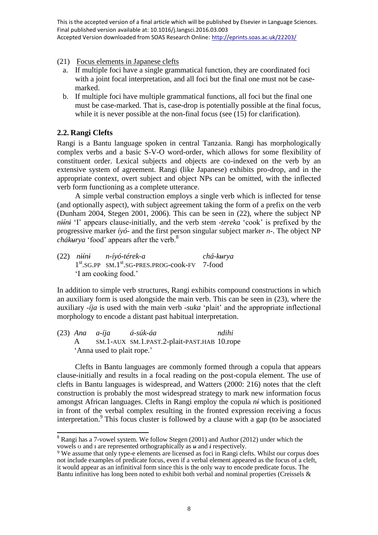- <span id="page-7-0"></span>(21) Focus elements in Japanese clefts
	- a. If multiple foci have a single grammatical function, they are coordinated foci with a joint focal interpretation, and all foci but the final one must not be casemarked.
	- b. If multiple foci have multiple grammatical functions, all foci but the final one must be case-marked. That is, case-drop is potentially possible at the final focus, while it is never possible at the non-final focus (see [\(15\)](#page-5-0) for clarification).

## **2.2. Rangi Clefts**

Rangi is a Bantu language spoken in central Tanzania. Rangi has morphologically complex verbs and a basic S-V-O word-order, which allows for some flexibility of constituent order. Lexical subjects and objects are co-indexed on the verb by an extensive system of agreement. Rangi (like Japanese) exhibits pro-drop, and in the appropriate context, overt subject and object NPs can be omitted, with the inflected verb form functioning as a complete utterance.

A simple verbal construction employs a single verb which is inflected for tense (and optionally aspect), with subject agreement taking the form of a prefix on the verb (Dunham 2004, Stegen 2001, 2006). This can be seen in [\(22\),](#page-7-1) where the subject NP *niíni* "I" appears clause-initially, and the verb stem -*tereka* "cook" is prefixed by the progressive marker *íyó-* and the first person singular subject marker *n-*. The object NP *chákurya* 'food' appears after the verb.<sup>8</sup>

<span id="page-7-1"></span>(22) *niíni n-íyó-térek-a chá-kurya* 1<sup>st</sup>.SG.PP SM.1<sup>st</sup>.SG-PRES.PROG-cook-FV 7-food "I am cooking food."

In addition to simple verb structures, Rangi exhibits compound constructions in which an auxiliary form is used alongside the main verb. This can be seen in [\(23\),](#page-7-2) where the auxiliary -*íja* is used with the main verb -*suka* "plait" and the appropriate inflectional morphology to encode a distant past habitual interpretation.

<span id="page-7-2"></span>(23) *Ana a-íja á-súk-áa ndihi* A SM.1-AUX SM.1.PAST.2-plait-PAST.HAB 10.rope 'Anna used to plait rope.'

Clefts in Bantu languages are commonly formed through a copula that appears clause-initially and results in a focal reading on the post-copula element. The use of clefts in Bantu languages is widespread, and Watters (2000: 216) notes that the cleft construction is probably the most widespread strategy to mark new information focus amongst African languages. Clefts in Rangi employ the copula *ní* which is positioned in front of the verbal complex resulting in the fronted expression receiving a focus interpretation.<sup>9</sup> This focus cluster is followed by a clause with a gap (to be associated

 $\overline{a}$  $8$  Rangi has a 7-vowel system. We follow Stegen (2001) and Author (2012) under which the vowels ʊ and ɪ are represented orthographically as *u* and *i* respectively.

<sup>9</sup> We assume that only type-e elements are licensed as foci in Rangi clefts. Whilst our corpus does not include examples of predicate focus, even if a verbal element appeared as the focus of a cleft, it would appear as an infinitival form since this is the only way to encode predicate focus. The Bantu infinitive has long been noted to exhibit both verbal and nominal properties (Creissels &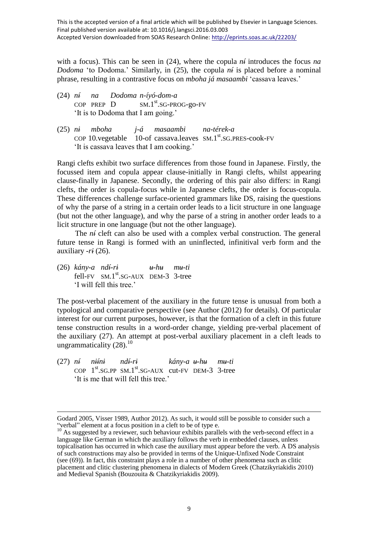with a focus). This can be seen in [\(24\),](#page-8-0) where the copula *ní* introduces the focus *na Dodoma* 'to Dodoma.' Similarly, in  $(25)$ , the copula  $n \notin I$  is placed before a nominal phrase, resulting in a contrastive focus on *mboha já masaambi* "cassava leaves."

- <span id="page-8-0"></span>(24) *ní na Dodoma n-íyó-dom-a* COP PREP D st .SG-PROG-go-FV 'It is to Dodoma that I am going.'
- <span id="page-8-1"></span>(25) *ni mboha j-á masaambi na-térek-a* COP 10. vegetable 10-of cassava.leaves SM.1<sup>st</sup>.SG.PRES-cook-FV 'It is cassava leaves that I am cooking.'

Rangi clefts exhibit two surface differences from those found in Japanese. Firstly, the focussed item and copula appear clause-initially in Rangi clefts, whilst appearing clause-finally in Japanese. Secondly, the ordering of this pair also differs: in Rangi clefts, the order is copula-focus while in Japanese clefts, the order is focus-copula. These differences challenge surface-oriented grammars like DS, raising the questions of why the parse of a string in a certain order leads to a licit structure in one language (but not the other language), and why the parse of a string in another order leads to a licit structure in one language (but not the other language).

The *ní* cleft can also be used with a complex verbal construction. The general future tense in Rangi is formed with an uninflected, infinitival verb form and the auxiliary *-ri* [\(26\).](#page-8-2)

<span id="page-8-2"></span>(26) *kány-a ndí-ri u-hu mu-ti*  $fell-FV$  SM.1<sup>st</sup>.SG-AUX DEM-3 3-tree "I will fell this tree."

 $\overline{a}$ 

The post-verbal placement of the auxiliary in the future tense is unusual from both a typological and comparative perspective (see Author (2012) for details). Of particular interest for our current purposes, however, is that the formation of a cleft in this future tense construction results in a word-order change, yielding pre-verbal placement of the auxiliary [\(27\).](#page-8-3) An attempt at post-verbal auxiliary placement in a cleft leads to ungrammaticality  $(28)$ .<sup>10</sup>

<span id="page-8-3"></span>(27) *ní niíni ndí-ri kány-a u-hu mu-ti*  $COP$   $1^{st}$ .SG.PP SM.1<sup>st</sup>.SG-AUX cut-FV DEM-3 3-tree 'It is me that will fell this tree.'

Godard 2005, Visser 1989, Author 2012). As such, it would still be possible to consider such a "verbal" element at a focus position in a cleft to be of type e.

As suggested by a reviewer, such behaviour exhibits parallels with the verb-second effect in a language like German in which the auxiliary follows the verb in embedded clauses, unless topicalisation has occurred in which case the auxiliary must appear before the verb. A DS analysis of such constructions may also be provided in terms of the Unique-Unfixed Node Constraint (see [\(69\)\)](#page-22-0). In fact, this constraint plays a role in a number of other phenomena such as clitic placement and clitic clustering phenomena in dialects of Modern Greek (Chatzikyriakidis 2010) and Medieval Spanish (Bouzouita & Chatzikyriakidis 2009).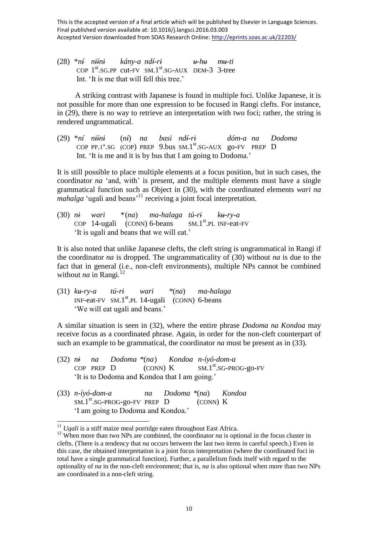<span id="page-9-0"></span>(28) \**ní niíni kány-a ndí-ri u-hu mu-ti*  $COP$  1<sup>st</sup>.SG.PP cut-FV SM.1<sup>st</sup>.SG-AUX DEM-3 3-tree Int. 'It is me that will fell this tree.'

A striking contrast with Japanese is found in multiple foci. Unlike Japanese, it is not possible for more than one expression to be focused in Rangi clefts. For instance, in [\(29\),](#page-9-1) there is no way to retrieve an interpretation with two foci; rather, the string is rendered ungrammatical.

<span id="page-9-1"></span>(29) \**ní niíni* (*ní*) *na basi ndí-ri dóm-a na Dodoma* COP PP.1st SG (COP) PREP  $9$  bus  $SM.1^{st}$  SG-AUX go-FV PREP D Int. 'It is me and it is by bus that I am going to Dodoma.'

It is still possible to place multiple elements at a focus position, but in such cases, the coordinator *na* 'and, with' is present, and the multiple elements must have a single grammatical function such as Object in [\(30\),](#page-9-2) with the coordinated elements *wari na mahalga* 'ugali and beans<sup>'11</sup> receiving a joint focal interpretation.

<span id="page-9-2"></span>(30) *ni wari \** (*na*) *ma-halaga tú-ri ku-ry-a*  $COP$  14-ugali  $(CONN)$  6-beans st .PL INF-eat-FV "It is ugali and beans that we will eat."

It is also noted that unlike Japanese clefts, the cleft string is ungrammatical in Rangi if the coordinator *na* is dropped. The ungrammaticality of [\(30\)](#page-9-2) without *na* is due to the fact that in general (i.e., non-cleft environments), multiple NPs cannot be combined without *na* in Rangi.<sup>12</sup>

(31) *ku-ry-a tú-ri wari \**(*na*) *ma-halaga* INF-eat-FV SM.1<sup>st</sup>.PL 14-ugali (CONN) 6-beans 'We will eat ugali and beans.'

A similar situation is seen in [\(32\),](#page-9-3) where the entire phrase *Dodoma na Kondoa* may receive focus as a coordinated phrase. Again, in order for the non-cleft counterpart of such an example to be grammatical, the coordinator *na* must be present as in [\(33\).](#page-9-4)

- <span id="page-9-3"></span>(32) *ni na Dodoma \**(*na*) *Kondoa n-íyó-dom-a*  $COP$  PREP  $D$   $(CONN)$  K st .SG-PROG-go-FV "It is to Dodoma and Kondoa that I am going."
- <span id="page-9-4"></span>(33) *n-íyó-dom-a na Dodoma \**(*na*) *Kondoa* SM.1<sup>st</sup>.SG-PROG-go-FV PREP D (CONN) K "I am going to Dodoma and Kondoa."

 $\overline{a}$ 

 $\frac{11}{11}$  *Ugali* is a stiff maize meal porridge eaten throughout East Africa.

<sup>&</sup>lt;sup>12</sup> When more than two NPs are combined, the coordinator *na* is optional in the focus cluster in clefts. (There is a tendency that *na* occurs between the last two items in careful speech.) Even in this case, the obtained interpretation is a joint focus interpretation (where the coordinated foci in total have a single grammatical function). Further, a parallelism finds itself with regard to the optionality of *na* in the non-cleft environment; that is, *na* is also optional when more than two NPs are coordinated in a non-cleft string.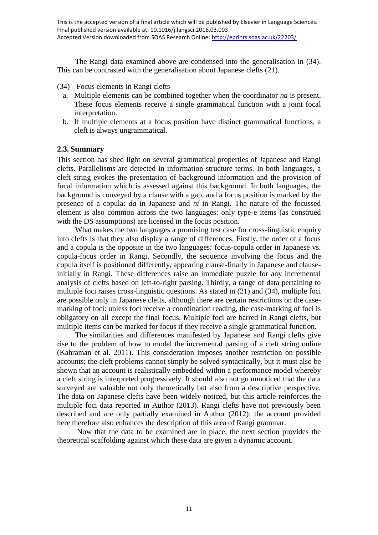The Rangi data examined above are condensed into the generalisation in [\(34\).](#page-10-0) This can be contrasted with the generalisation about Japanese clefts [\(21\).](#page-7-0)

- <span id="page-10-0"></span>(34) Focus elements in Rangi clefts
	- a. Multiple elements can be combined together when the coordinator *na* is present. These focus elements receive a single grammatical function with a joint focal interpretation.
	- b. If multiple elements at a focus position have distinct grammatical functions, a cleft is always ungrammatical.

#### **2.3. Summary**

This section has shed light on several grammatical properties of Japanese and Rangi clefts. Parallelisms are detected in information structure terms. In both languages, a cleft string evokes the presentation of background information and the provision of focal information which is assessed against this background. In both languages, the background is conveyed by a clause with a gap, and a focus position is marked by the presence of a copula: *da* in Japanese and *ní* in Rangi. The nature of the focussed element is also common across the two languages: only type-e items (as construed with the DS assumptions) are licensed in the focus position.

What makes the two languages a promising test case for cross-linguistic enquiry into clefts is that they also display a range of differences. Firstly, the order of a focus and a copula is the opposite in the two languages: focus-copula order in Japanese vs. copula-focus order in Rangi. Secondly, the sequence involving the focus and the copula itself is positioned differently, appearing clause-finally in Japanese and clauseinitially in Rangi. These differences raise an immediate puzzle for any incremental analysis of clefts based on left-to-right parsing. Thirdly, a range of data pertaining to multiple foci raises cross-linguistic questions. As stated in [\(21\)](#page-7-0) and [\(34\),](#page-10-0) multiple foci are possible only in Japanese clefts, although there are certain restrictions on the casemarking of foci: unless foci receive a coordination reading, the case-marking of foci is obligatory on all except the final focus. Multiple foci are barred in Rangi clefts, but multiple items can be marked for focus if they receive a single grammatical function.

The similarities and differences manifested by Japanese and Rangi clefts give rise to the problem of how to model the incremental parsing of a cleft string online (Kahraman et al. 2011). This consideration imposes another restriction on possible accounts; the cleft problems cannot simply be solved syntactically, but it must also be shown that an account is realistically embedded within a performance model whereby a cleft string is interpreted progressively. It should also not go unnoticed that the data surveyed are valuable not only theoretically but also from a descriptive perspective. The data on Japanese clefts have been widely noticed, but this article reinforces the multiple foci data reported in Author (2013). Rangi clefts have not previously been described and are only partially examined in Author (2012); the account provided here therefore also enhances the description of this area of Rangi grammar.

Now that the data to be examined are in place, the next section provides the theoretical scaffolding against which these data are given a dynamic account.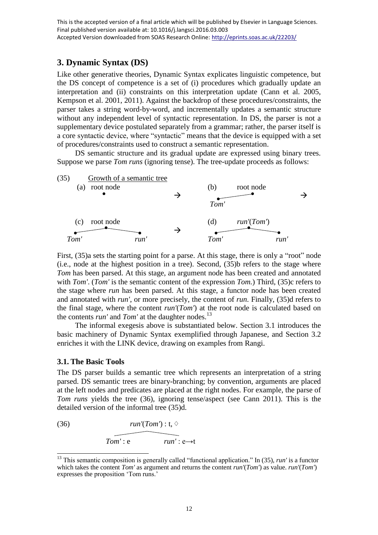### **3. Dynamic Syntax (DS)**

Like other generative theories, Dynamic Syntax explicates linguistic competence, but the DS concept of competence is a set of (i) procedures which gradually update an interpretation and (ii) constraints on this interpretation update (Cann et al. 2005, Kempson et al. 2001, 2011). Against the backdrop of these procedures/constraints, the parser takes a string word-by-word, and incrementally updates a semantic structure without any independent level of syntactic representation. In DS, the parser is not a supplementary device postulated separately from a grammar; rather, the parser itself is a core syntactic device, where "syntactic" means that the device is equipped with a set of procedures/constraints used to construct a semantic representation.

DS semantic structure and its gradual update are expressed using binary trees. Suppose we parse *Tom runs* (ignoring tense). The tree-update proceeds as follows:

<span id="page-11-0"></span>

First, [\(35\)a](#page-11-0) sets the starting point for a parse. At this stage, there is only a "root" node (i.e., node at the highest position in a tree). Second, [\(35\)b](#page-11-0) refers to the stage where *Tom* has been parsed. At this stage, an argument node has been created and annotated with *Tom'*. (*Tom'* is the semantic content of the expression *Tom.*) Third, [\(35\)c](#page-11-0) refers to the stage where *run* has been parsed. At this stage, a functor node has been created and annotated with *run'*, or more precisely, the content of *run*. Finally, [\(35\)d](#page-11-0) refers to the final stage, where the content *run'*(*Tom'*) at the root node is calculated based on the contents  $run'$  and  $Tom'$  at the daughter nodes.<sup>13</sup>

<span id="page-11-3"></span>The informal exegesis above is substantiated below. Section [3.1](#page-11-1) introduces the basic machinery of Dynamic Syntax exemplified through Japanese, and Section [3.2](#page-16-0) enriches it with the LINK device, drawing on examples from Rangi.

#### <span id="page-11-1"></span>**3.1. The Basic Tools**

 $\overline{a}$ 

The DS parser builds a semantic tree which represents an interpretation of a string parsed. DS semantic trees are binary-branching; by convention, arguments are placed at the left nodes and predicates are placed at the right nodes. For example, the parse of *Tom runs* yields the tree [\(36\),](#page-11-2) ignoring tense/aspect (see Cann 2011). This is the detailed version of the informal tree [\(35\)d](#page-11-0).

<span id="page-11-2"></span>(36) 
$$
run'(Tom'): t, \Diamond
$$
  
Tom': e 
$$
run': e \rightarrow t
$$

<sup>13</sup> This semantic composition is generally called "functional application." In [\(35\),](#page-11-0) *run'* is a functor which takes the content *Tom'* as argument and returns the content *run'*(*Tom'*) as value. *run'*(*Tom'*) expresses the proposition 'Tom runs.'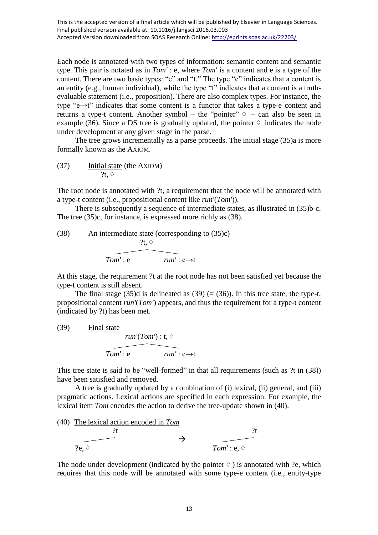Each node is annotated with two types of information: semantic content and semantic type. This pair is notated as in *Tom'* : e, where *Tom'* is a content and e is a type of the content. There are two basic types: "e" and "t." The type "e" indicates that a content is an entity (e.g., human individual), while the type "t" indicates that a content is a truthevaluable statement (i.e., proposition). There are also complex types. For instance, the type "e→t" indicates that some content is a functor that takes a type-e content and returns a type-t content. Another symbol – the "pointer"  $\diamond$  – can also be seen in example [\(36\).](#page-11-2) Since a DS tree is gradually updated, the pointer  $\diamond$  indicates the node under development at any given stage in the parse.

The tree grows incrementally as a parse proceeds. The initial stage [\(35\)a](#page-11-0) is more formally known as the AXIOM.

(37) Initial state (the AXIOM) ?t.  $\diamond$ 

The root node is annotated with ?t, a requirement that the node will be annotated with a type-t content (i.e., propositional content like *run'*(*Tom'*)).

There is subsequently a sequence of intermediate states, as illustrated in [\(35\)b](#page-11-0)-c. The tree [\(35\)c](#page-11-0), for instance, is expressed more richly as [\(38\).](#page-12-0)

<span id="page-12-0"></span>(38) An intermediate state (corresponding to (35)c)  
\n
$$
\underbrace{?t, \diamondsuit}_{Tom': e \longrightarrow t}
$$

At this stage, the requirement ?t at the root node has not been satisfied yet because the type-t content is still absent.

The final stage [\(35\)d](#page-11-0) is delineated as [\(39\)](#page-12-1) (= [\(36\)\)](#page-11-2). In this tree state, the type-t, propositional content *run'*(*Tom'*) appears, and thus the requirement for a type-t content (indicated by ?t) has been met.

<span id="page-12-1"></span>(39) 
$$
\underbrace{\text{Final state}}_{\text{run}' \, : \, \text{e}} \quad \underbrace{\text{run} \, \text{run}' \, : \, \text{e} \rightarrow \text{t}}_{\text{run} \, : \, \text{e} \rightarrow \text{t}}
$$

This tree state is said to be "well-formed" in that all requirements (such as ?t in [\(38\)\)](#page-12-0) have been satisfied and removed.

A tree is gradually updated by a combination of (i) lexical, (ii) general, and (iii) pragmatic actions. Lexical actions are specified in each expression. For example, the lexical item *Tom* encodes the action to derive the tree-update shown in [\(40\).](#page-12-2)

<span id="page-12-2"></span>(40) The lexical action encoded in *Tom*



The node under development (indicated by the pointer  $\diamond$ ) is annotated with ?e, which requires that this node will be annotated with some type-e content (i.e., entity-type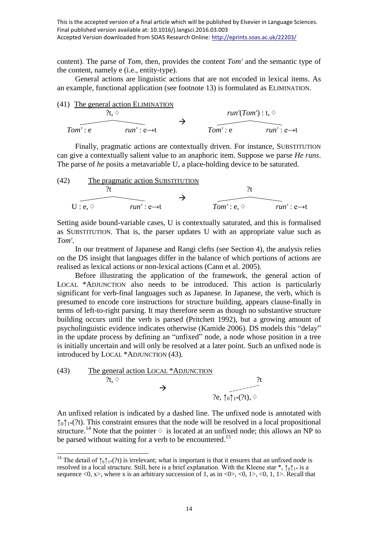content). The parse of *Tom*, then, provides the content *Tom'* and the semantic type of the content, namely e (i.e., entity-type).

General actions are linguistic actions that are not encoded in lexical items. As an example, functional application (see footnote [13\)](#page-11-3) is formulated as ELIMINATION.



Finally, pragmatic actions are contextually driven. For instance, SUBSTITUTION can give a contextually salient value to an anaphoric item. Suppose we parse *He runs*. The parse of *he* posits a metavariable U, a place-holding device to be saturated.

(42) The pragmatic action SUBSTITUTION  
\n?t\n?t\n?t\n
$$
\overbrace{U : e, \diamond}^{?t} \longrightarrow
$$
\n
$$
\overbrace{U : e, \diamond}^{?t} \longrightarrow
$$
\n
$$
\overbrace{U : e, \diamond}^{?t} \longrightarrow
$$
\n
$$
\overbrace{U : e, \diamond}^{?t} \longrightarrow
$$
\n
$$
\overbrace{U : e, \diamond}^{?t} \longrightarrow
$$

Setting aside bound-variable cases, U is contextually saturated, and this is formalised as SUBSTITUTION. That is, the parser updates U with an appropriate value such as *Tom'*.

In our treatment of Japanese and Rangi clefts (see Section 4), the analysis relies on the DS insight that languages differ in the balance of which portions of actions are realised as lexical actions or non-lexical actions (Cann et al. 2005).

Before illustrating the application of the framework, the general action of LOCAL \*ADJUNCTION also needs to be introduced. This action is particularly significant for verb-final languages such as Japanese. In Japanese, the verb, which is presumed to encode core instructions for structure building, appears clause-finally in terms of left-to-right parsing. It may therefore seem as though no substantive structure building occurs until the verb is parsed (Pritchett 1992), but a growing amount of psycholinguistic evidence indicates otherwise (Kamide 2006). DS models this "delay" in the update process by defining an "unfixed" node, a node whose position in a tree is initially uncertain and will only be resolved at a later point. Such an unfixed node is introduced by LOCAL \*ADJUNCTION [\(43\).](#page-13-0)

<span id="page-13-0"></span>(43) The general action 
$$
\text{LOCAL} * \text{ADJUNCTION}
$$
  
\n?t,  $\Diamond$   
\n?e,  $\uparrow_0 \uparrow_1 * (?t), \Diamond$ 

 $\overline{a}$ 

An unfixed relation is indicated by a dashed line. The unfixed node is annotated with  $\int_0 \hat{f}_{1*}(?t)$ . This constraint ensures that the node will be resolved in a local propositional structure.<sup>14</sup> Note that the pointer  $\diamond$  is located at an unfixed node; this allows an NP to be parsed without waiting for a verb to be encountered.<sup>15</sup>

<sup>&</sup>lt;sup>14</sup> The detail of  $\int_0^{\infty} \int_1^x (2t)$  is irrelevant; what is important is that it ensures that an unfixed node is resolved in a local structure. Still, here is a brief explanation. With the Kleene star \*, ↑0↑1\* is a sequence  $\langle 0, x \rangle$ , where x is an arbitrary succession of 1, as in  $\langle 0 \rangle$ ,  $\langle 0, 1 \rangle$ ,  $\langle 0, 1, 1 \rangle$ . Recall that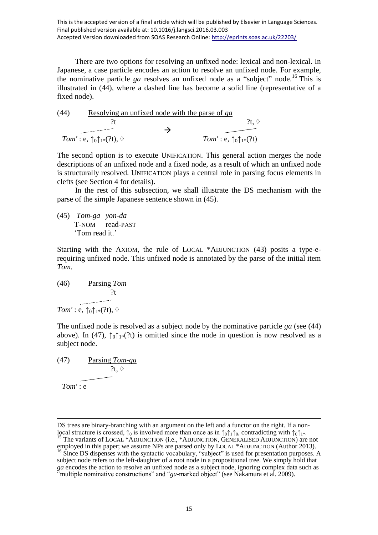There are two options for resolving an unfixed node: lexical and non-lexical. In Japanese, a case particle encodes an action to resolve an unfixed node. For example, the nominative particle *ga* resolves an unfixed node as a "subject" node.<sup>16</sup> This is illustrated in [\(44\),](#page-14-0) where a dashed line has become a solid line (representative of a fixed node).

<span id="page-14-0"></span>(44) Resolving an unfixed node with the parse of ga  
\n?t  
\n
$$
Tom': e, \uparrow_0 \uparrow_1 * (?t), \diamond
$$
\n
$$
Tom': e, \uparrow_0 \uparrow_1 * (?t)
$$

The second option is to execute UNIFICATION. This general action merges the node descriptions of an unfixed node and a fixed node, as a result of which an unfixed node is structurally resolved. UNIFICATION plays a central role in parsing focus elements in clefts (see Section 4 for details).

In the rest of this subsection, we shall illustrate the DS mechanism with the parse of the simple Japanese sentence shown in [\(45\).](#page-14-1)

<span id="page-14-1"></span>(45) *Tom-ga yon-da* T-NOM read-PAST 'Tom read it.'

Starting with the AXIOM, the rule of LOCAL \*ADJUNCTION [\(43\)](#page-13-0) posits a type-erequiring unfixed node. This unfixed node is annotated by the parse of the initial item *Tom*.

(46) Parsing Tom  
\n?t  
\n*Tom'*: e, 
$$
\uparrow_0 \uparrow_1 * (?t)
$$
,  $\diamond$ 

The unfixed node is resolved as a subject node by the nominative particle *ga* (see [\(44\)](#page-14-0) above). In [\(47\),](#page-14-2)  $\int_0^1 (2t)$  is omitted since the node in question is now resolved as a subject node.

<span id="page-14-2"></span>(47) Parsing *Tom-ga* ?t.  $\diamond$ *Tom'* : e

 $\overline{a}$ 

DS trees are binary-branching with an argument on the left and a functor on the right. If a nonlocal structure is crossed,  $\uparrow_0$  is involved more than once as in  $\uparrow_0\uparrow_1\uparrow_0$ , contradicting with  $\uparrow_0\uparrow_1$ <sup>\*</sup>.

The variants of LOCAL \*ADJUNCTION (i.e., \*ADJUNCTION, GENERALISED ADJUNCTION) are not employed in this paper; we assume NPs are parsed only by LOCAL \*ADJUNCTION (Author 2013). Since DS dispenses with the syntactic vocabulary, "subject" is used for presentation purposes. A subject node refers to the left-daughter of a root node in a propositional tree. We simply hold that *ga* encodes the action to resolve an unfixed node as a subject node, ignoring complex data such as

<sup>&</sup>quot;multiple nominative constructions" and "*ga*-marked object" (see Nakamura et al. 2009).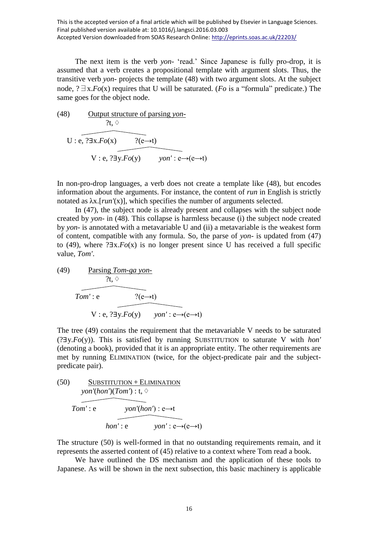The next item is the verb *yon*- "read." Since Japanese is fully pro-drop, it is assumed that a verb creates a propositional template with argument slots. Thus, the transitive verb *yon*- projects the template [\(48\)](#page-15-0) with two argument slots. At the subject node, ?∃x.*Fo*(x) requires that U will be saturated. (*Fo* is a "formula" predicate.) The same goes for the object node.

<span id="page-15-0"></span>(48) Output structure of parsing *yon*-  
\n?t, 
$$
\diamond
$$
  
\nU: e, ?\exists x.Fo(x) ?(e $\rightarrow$ t)  
\nV: e, ?\exists y.Fo(y) *yon* : e $\rightarrow$ (e $\rightarrow$ t)

In non-pro-drop languages, a verb does not create a template like [\(48\),](#page-15-0) but encodes information about the arguments. For instance, the content of *run* in English is strictly notated as λx.[*run'*(x)], which specifies the number of arguments selected.

In [\(47\),](#page-14-2) the subject node is already present and collapses with the subject node created by *yon*- in [\(48\).](#page-15-0) This collapse is harmless because (i) the subject node created by *yon*- is annotated with a metavariable U and (ii) a metavariable is the weakest form of content, compatible with any formula. So, the parse of *yon*- is updated from [\(47\)](#page-14-2) to [\(49\),](#page-15-1) where ?∃x.*Fo*(x) is no longer present since U has received a full specific value, *Tom'*.

<span id="page-15-1"></span>(49) Parsing Tom-ga von-  
\n?t, 
$$
\Diamond
$$
  
\n*Tom'*: e  
\n $?$   
\n $Y : e$ , ? $\exists y.Fo(y)$  *yon'*: e $\rightarrow$ (e $\rightarrow$ t)

The tree [\(49\)](#page-15-1) contains the requirement that the metavariable V needs to be saturated (?∃y.*Fo*(y)). This is satisfied by running SUBSTITUTION to saturate V with *hon'* (denoting a book), provided that it is an appropriate entity. The other requirements are met by running ELIMINATION (twice, for the object-predicate pair and the subjectpredicate pair).

<span id="page-15-2"></span>(50) 
$$
\frac{\text{SUBSTITUTION} + \text{ELIMINATION}}{\text{yon}'(hon')(Tom') : t, \Diamond}
$$
  
Tom': e  $\text{yon}'(hon') : e \rightarrow t$   
hon': e  $\text{yon}' : e \rightarrow (e \rightarrow t)$ 

The structure [\(50\)](#page-15-2) is well-formed in that no outstanding requirements remain, and it represents the asserted content of [\(45\)](#page-14-1) relative to a context where Tom read a book.

We have outlined the DS mechanism and the application of these tools to Japanese. As will be shown in the next subsection, this basic machinery is applicable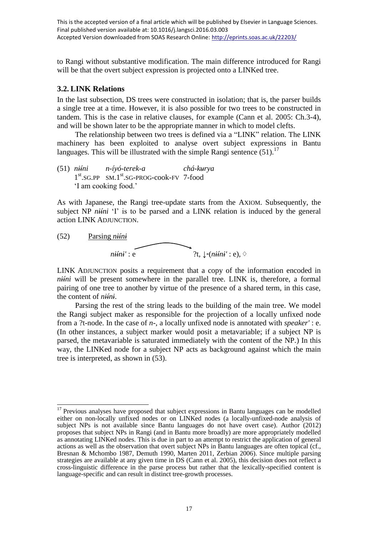to Rangi without substantive modification. The main difference introduced for Rangi will be that the overt subject expression is projected onto a LINKed tree.

### <span id="page-16-0"></span>**3.2. LINK Relations**

In the last subsection, DS trees were constructed in isolation; that is, the parser builds a single tree at a time. However, it is also possible for two trees to be constructed in tandem. This is the case in relative clauses, for example (Cann et al. 2005: Ch.3-4), and will be shown later to be the appropriate manner in which to model clefts.

The relationship between two trees is defined via a "LINK" relation. The LINK machinery has been exploited to analyse overt subject expressions in Bantu languages. This will be illustrated with the simple Rangi sentence  $(51)$ .<sup>17</sup>

<span id="page-16-1"></span>(51) *niíni n-íyó-terek-a chá-kurya* 1<sup>st</sup>.SG.PP SM.1<sup>st</sup>.SG-PROG-cook-FV 7-food 'I am cooking food.'

As with Japanese, the Rangi tree-update starts from the AXIOM. Subsequently, the subject NP *niini* 'I' is to be parsed and a LINK relation is induced by the general action LINK ADJUNCTION.

(52) Parsing *niíni*  $n\ddot{i}n\dot{i}'$  : e  $?t, \downarrow$  \* $(n\ddot{i}n\dot{i}'$  : e),  $\diamond$ 

LINK ADJUNCTION posits a requirement that a copy of the information encoded in *niíni* will be present somewhere in the parallel tree. LINK is, therefore, a formal pairing of one tree to another by virtue of the presence of a shared term, in this case, the content of *niíni*.

Parsing the rest of the string leads to the building of the main tree. We model the Rangi subject maker as responsible for the projection of a locally unfixed node from a ?t-node. In the case of *n-*, a locally unfixed node is annotated with *speaker'* : e. (In other instances, a subject marker would posit a metavariable; if a subject NP is parsed, the metavariable is saturated immediately with the content of the NP.) In this way, the LINKed node for a subject NP acts as background against which the main tree is interpreted, as shown in [\(53\).](#page-17-0)

 $\overline{a}$  $17$  Previous analyses have proposed that subject expressions in Bantu languages can be modelled either on non-locally unfixed nodes or on LINKed nodes (a locally-unfixed-node analysis of subject NPs is not available since Bantu languages do not have overt case). Author (2012) proposes that subject NPs in Rangi (and in Bantu more broadly) are more appropriately modelled as annotating LINKed nodes. This is due in part to an attempt to restrict the application of general actions as well as the observation that overt subject NPs in Bantu languages are often topical (cf., Bresnan & Mchombo 1987, Demuth 1990, Marten 2011, Zerbian 2006). Since multiple parsing strategies are available at any given time in DS (Cann et al. 2005), this decision does not reflect a cross-linguistic difference in the parse process but rather that the lexically-specified content is language-specific and can result in distinct tree-growth processes.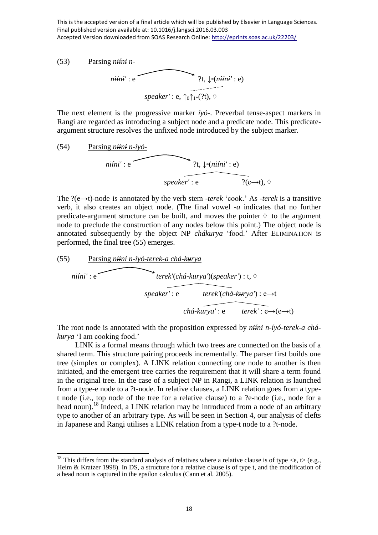<span id="page-17-0"></span>

The next element is the progressive marker *íyó*-. Preverbal tense-aspect markers in Rangi are regarded as introducing a subject node and a predicate node. This predicateargument structure resolves the unfixed node introduced by the subject marker.

(54) Parsing *niíni n-íyó-*

 $\overline{a}$ 

$$
n\ddot{t}n\ddot{t}':
$$
 
$$
?t, \downarrow*(n\dot{t}n\dot{t}':
$$
 
$$
speaker':
$$
 
$$
?(e \rightarrow t), \diamond
$$

The ?(e→t)-node is annotated by the verb stem -*terek* "cook." As -*terek* is a transitive verb, it also creates an object node. (The final vowel *-a* indicates that no further predicate-argument structure can be built, and moves the pointer  $\diamond$  to the argument node to preclude the construction of any nodes below this point.) The object node is annotated subsequently by the object NP *chákurya* "food." After ELIMINATION is performed, the final tree [\(55\)](#page-17-1) emerges.

<span id="page-17-1"></span>(55) 
$$
\underbrace{\text{Passing ni·ini } n \cdot i \cdot \text{y\'o-terek-a chá-kurya}}_{\text{terek'(chá-kurya')(speaker') : t, ∞}
$$

\n
$$
\underbrace{\text{preaker'} : e}_{\text{trek'(chá-kurya') : e \rightarrow t}} \underbrace{\text{terek'(chá-kurya')} : e \rightarrow t}_{\text{chá-kurya' : e} \text{terek' : e \rightarrow (e \rightarrow t)}}
$$

The root node is annotated with the proposition expressed by *niíni n-íyó-terek-a chákurya* "I am cooking food."

LINK is a formal means through which two trees are connected on the basis of a shared term. This structure pairing proceeds incrementally. The parser first builds one tree (simplex or complex). A LINK relation connecting one node to another is then initiated, and the emergent tree carries the requirement that it will share a term found in the original tree. In the case of a subject NP in Rangi, a LINK relation is launched from a type-e node to a ?t-node. In relative clauses, a LINK relation goes from a typet node (i.e., top node of the tree for a relative clause) to a ?e-node (i.e., node for a head noun).<sup>18</sup> Indeed, a LINK relation may be introduced from a node of an arbitrary type to another of an arbitrary type. As will be seen in Section [4,](#page-18-1) our analysis of clefts in Japanese and Rangi utilises a LINK relation from a type-t node to a ?t-node.

<sup>&</sup>lt;sup>18</sup> This differs from the standard analysis of relatives where a relative clause is of type  $\lt e$ , t $\gt$  (e.g., Heim & Kratzer 1998). In DS, a structure for a relative clause is of type t, and the modification of a head noun is captured in the epsilon calculus (Cann et al. 2005).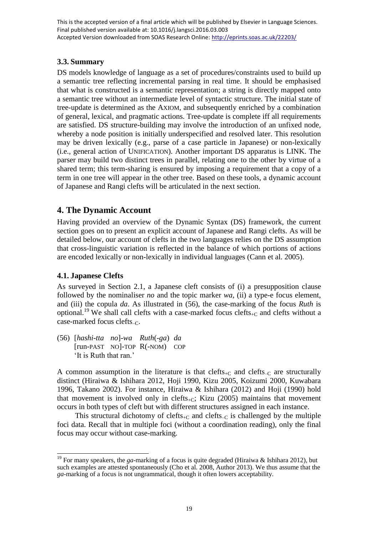## **3.3. Summary**

DS models knowledge of language as a set of procedures/constraints used to build up a semantic tree reflecting incremental parsing in real time. It should be emphasised that what is constructed is a semantic representation; a string is directly mapped onto a semantic tree without an intermediate level of syntactic structure. The initial state of tree-update is determined as the AXIOM, and subsequently enriched by a combination of general, lexical, and pragmatic actions. Tree-update is complete iff all requirements are satisfied. DS structure-building may involve the introduction of an unfixed node, whereby a node position is initially underspecified and resolved later. This resolution may be driven lexically (e.g., parse of a case particle in Japanese) or non-lexically (i.e., general action of UNIFICATION). Another important DS apparatus is LINK. The parser may build two distinct trees in parallel, relating one to the other by virtue of a shared term; this term-sharing is ensured by imposing a requirement that a copy of a term in one tree will appear in the other tree. Based on these tools, a dynamic account of Japanese and Rangi clefts will be articulated in the next section.

## <span id="page-18-1"></span>**4. The Dynamic Account**

Having provided an overview of the Dynamic Syntax (DS) framework, the current section goes on to present an explicit account of Japanese and Rangi clefts. As will be detailed below, our account of clefts in the two languages relies on the DS assumption that cross-linguistic variation is reflected in the balance of which portions of actions are encoded lexically or non-lexically in individual languages (Cann et al. 2005).

## **4.1. Japanese Clefts**

As surveyed in Section 2.1, a Japanese cleft consists of (i) a presupposition clause followed by the nominaliser *no* and the topic marker *wa*, (ii) a type-e focus element, and (iii) the copula *da*. As illustrated in [\(56\),](#page-18-2) the case-marking of the focus *Ruth* is optional.<sup>19</sup> We shall call clefts with a case-marked focus clefts<sub>+C</sub> and clefts without a case-marked focus clefts<sub>-C</sub>.

<span id="page-18-2"></span><span id="page-18-0"></span>(56) [*hashi-tta no*]*-wa Ruth*(*-ga*) *da* [run-PAST NO]-TOP R(-NOM) COP "It is Ruth that ran."

A common assumption in the literature is that clefts<sub>+C</sub> and clefts<sub>-C</sub> are structurally distinct (Hiraiwa & Ishihara 2012, Hoji 1990, Kizu 2005, Koizumi 2000, Kuwabara 1996, Takano 2002). For instance, Hiraiwa & Ishihara (2012) and Hoji (1990) hold that movement is involved only in clefts<sub>+C</sub>; Kizu (2005) maintains that movement occurs in both types of cleft but with different structures assigned in each instance.

This structural dichotomy of clefts<sub>+C</sub> and clefts<sub>-C</sub> is challenged by the multiple foci data. Recall that in multiple foci (without a coordination reading), only the final focus may occur without case-marking.

 $\overline{a}$ <sup>19</sup> For many speakers, the *ga*-marking of a focus is quite degraded (Hiraiwa & Ishihara 2012), but such examples are attested spontaneously (Cho et al. 2008, Author 2013). We thus assume that the *ga*-marking of a focus is not ungrammatical, though it often lowers acceptability.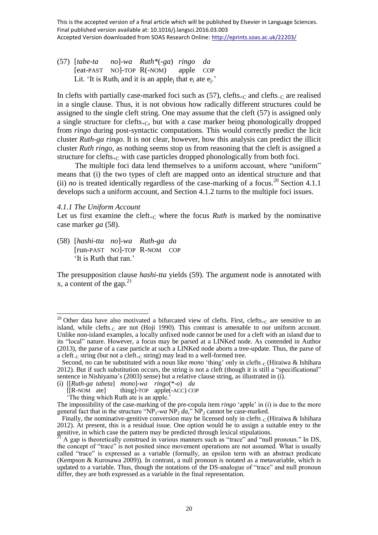<span id="page-19-0"></span>(57) [*tabe-ta no*]*-wa Ruth\**(*-ga*) *ringo da* [eat-PAST NO]-TOP R(-NOM) apple COP Lit. 'It is Ruth<sub>i</sub> and it is an apple<sub>j</sub> that  $e_i$  ate  $e_j$ .'

In clefts with partially case-marked foci such as  $(57)$ , clefts<sub>+C</sub> and clefts<sub>-C</sub> are realised in a single clause. Thus, it is not obvious how radically different structures could be assigned to the single cleft string. One may assume that the cleft [\(57\)](#page-19-0) is assigned only a single structure for clefts<sub>+C</sub>, but with a case marker being phonologically dropped from *ringo* during post-syntactic computations. This would correctly predict the licit cluster *Ruth-ga ringo*. It is not clear, however, how this analysis can predict the illicit cluster *Ruth ringo*, as nothing seems stop us from reasoning that the cleft is assigned a structure for clefts<sub>+C</sub> with case particles dropped phonologically from both foci.

The multiple foci data lend themselves to a uniform account, where "uniform" means that (i) the two types of cleft are mapped onto an identical structure and that (ii) *no* is treated identically regardless of the case-marking of a focus.<sup>20</sup> Section 4.1.1 develops such a uniform account, and Section 4.1.2 turns to the multiple foci issues.

#### *4.1.1 The Uniform Account*

 $\overline{\phantom{a}}$ 

Let us first examine the cleft<sub>+C</sub> where the focus *Ruth* is marked by the nominative case marker *ga* [\(58\).](#page-19-1)

<span id="page-19-1"></span>(58) [*hashi-tta no*]*-wa Ruth-ga da* [run-PAST NO]-TOP R-NOM COP "It is Ruth that ran."

The presupposition clause *hashi-tta* yields [\(59\).](#page-20-0) The argument node is annotated with  $x$ , a content of the gap.<sup>21</sup>

<sup>&</sup>lt;sup>20</sup> Other data have also motivated a bifurcated view of clefts. First, clefts<sub>+C</sub> are sensitive to an island, while clefts<sub>-C</sub> are not (Hoji 1990). This contrast is amenable to our uniform account. Unlike non-island examples, a locally unfixed node cannot be used for a cleft with an island due to its "local" nature. However, a focus may be parsed at a LINKed node. As contended in Author (2013), the parse of a case particle at such a LINKed node aborts a tree-update. Thus, the parse of a cleft<sub>-C</sub> string (but not a cleft<sub>+C</sub> string) may lead to a well-formed tree.

Second, no can be substituted with a noun like *mono* 'thing' only in clefts<sub>-C</sub> (Hiraiwa & Ishihara 2012). But if such substitution occurs, the string is not a cleft (though it is still a "specificational" sentence in Nishiyama's (2003) sense) but a relative clause string, as illustrated in (i).

<sup>(</sup>i) [[*Ruth-ga tabeta*] *mono*]-*wa ringo*(\**-o*) *da*

<sup>[[</sup>R-NOM ate] thing]-TOP apple(-ACC) COP

<sup>&</sup>quot;The thing which Ruth ate is an apple."

The impossibility of the case-marking of the pre-copula item *ringo* "apple" in (i) is due to the more general fact that in the structure " $NP_1$ -wa  $NP_2$  *da*,"  $NP_2$  cannot be case-marked.

Finally, the nominative-genitive conversion may be licensed only in clefts<sub>–C</sub> (Hiraiwa & Ishihara 2012). At present, this is a residual issue. One option would be to assign a suitable entry to the genitive, in which case the pattern may be predicted through lexical stipulations.

A gap is theoretically construed in various manners such as "trace" and "null pronoun." In DS, the concept of "trace" is not posited since movement operations are not assumed. What is usually called "trace" is expressed as a variable (formally, an epsilon term with an abstract predicate (Kempson & Kurosawa 2009)). In contrast, a null pronoun is notated as a metavariable, which is updated to a variable. Thus, though the notations of the DS-analogue of "trace" and null pronoun differ, they are both expressed as a variable in the final representation.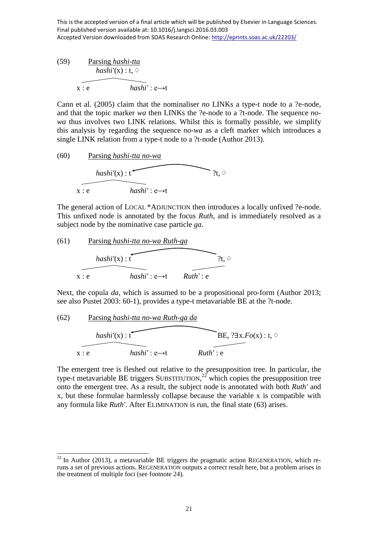<span id="page-20-0"></span>(59) Parsing hashi-tta  
hashi'(x) : t, 
$$
\Diamond
$$
  
x : e  $hashi': e \rightarrow t$ 

Cann et al. (2005) claim that the nominaliser *no* LINKs a type-t node to a ?e-node, and that the topic marker *wa* then LINKs the ?e-node to a ?t-node. The sequence *nowa* thus involves two LINK relations. Whilst this is formally possible, we simplify this analysis by regarding the sequence *no-wa* as a cleft marker which introduces a single LINK relation from a type-t node to a ?t-node (Author 2013).

(60) Parsing hashi-tta no-wa  
\n
$$
hashi'(x) : t
$$
\n
$$
x : e
$$
\n
$$
hashi' : e \rightarrow t
$$
\n
$$
x : e
$$
\n
$$
x : e
$$
\n
$$
hashi' : e \rightarrow t
$$

The general action of LOCAL \*ADJUNCTION then introduces a locally unfixed ?e-node. This unfixed node is annotated by the focus *Ruth*, and is immediately resolved as a subject node by the nominative case particle *ga*.

(61) Parsing hashi-tta no-wa Ruth-ga  
\n
$$
hashi'(x) : t
$$
\nx : e  
\n
$$
hashi' : e \rightarrow t
$$
\n
$$
Ruth' : e
$$

 $\overline{\phantom{a}}$ 

Next, the copula *da*, which is assumed to be a propositional pro-form (Author 2013; see also Pustet 2003: 60-1), provides a type-t metavariable BE at the ?t-node.

(62) Parsing hashi-tta no-wa Ruth-ga da  
\n*hashi'(x)*:  
\nx : e *hashi'*: e
$$
\rightarrow t
$$
 *Ruth'*: e

<span id="page-20-1"></span>The emergent tree is fleshed out relative to the presupposition tree. In particular, the type-t metavariable BE triggers SUBSTITUTION, $^{22}$  which copies the presupposition tree onto the emergent tree. As a result, the subject node is annotated with both *Ruth'* and x, but these formulae harmlessly collapse because the variable x is compatible with any formula like *Ruth'*. After ELIMINATION is run, the final state [\(63\)](#page-21-0) arises.

 $^{22}$  In Author (2013), a metavariable BE triggers the pragmatic action REGENERATION, which reruns a set of previous actions. REGENERATION outputs a correct result here, but a problem arises in the treatment of multiple foci (see footnot[e 24\)](#page-23-0).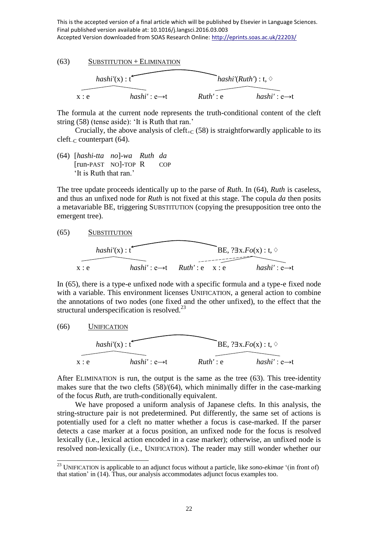#### <span id="page-21-0"></span>(63) SUBSTITUTION + ELIMINATION



The formula at the current node represents the truth-conditional content of the cleft string [\(58\)](#page-19-1) (tense aside): 'It is Ruth that ran.'

Crucially, the above analysis of cleft<sub>+C</sub> [\(58\)](#page-19-1) is straightforwardly applicable to its cleft<sub>–C</sub> counterpart [\(64\).](#page-21-1)

<span id="page-21-1"></span>(64) [*hashi-tta no*]*-wa Ruth da* [run-PAST NO]-TOP R COP "It is Ruth that ran."

 $\overline{a}$ 

The tree update proceeds identically up to the parse of *Ruth*. In [\(64\),](#page-21-1) *Ruth* is caseless, and thus an unfixed node for *Ruth* is not fixed at this stage. The copula *da* then posits a metavariable BE, triggering SUBSTITUTION (copying the presupposition tree onto the emergent tree).

<span id="page-21-2"></span>(65) SUBSTITUTION  
\n*hashi'(x)*:  
\n
$$
\overbrace{X:e} \qquad \qquad hashi': e \rightarrow t \qquad \text{Ruth': } e \qquad x:e \qquad \qquad hashi': e \rightarrow t
$$

In [\(65\),](#page-21-2) there is a type-e unfixed node with a specific formula and a type-e fixed node with a variable. This environment licenses UNIFICATION, a general action to combine the annotations of two nodes (one fixed and the other unfixed), to the effect that the structural underspecification is resolved. $^{23}$ 

(66) UNIFICATION  
\n*hashi'(x)* : 
$$
t
$$
  
\n $x : e$   
\n*hashi' : e \rightarrow t*  
\n*Ruth' : e*  
\n*Ruth' : e*  
\n*hashi' : e \rightarrow t*

After ELIMINATION is run, the output is the same as the tree [\(63\).](#page-21-0) This tree-identity makes sure that the two clefts [\(58\)](#page-19-1)[/\(64\),](#page-21-1) which minimally differ in the case-marking of the focus *Ruth*, are truth-conditionally equivalent.

We have proposed a uniform analysis of Japanese clefts. In this analysis, the string-structure pair is not predetermined. Put differently, the same set of actions is potentially used for a cleft no matter whether a focus is case-marked. If the parser detects a case marker at a focus position, an unfixed node for the focus is resolved lexically (i.e., lexical action encoded in a case marker); otherwise, an unfixed node is resolved non-lexically (i.e., UNIFICATION). The reader may still wonder whether our

<sup>23</sup> UNIFICATION is applicable to an adjunct focus without a particle, like *sono-ekimae* "(in front of) that station" in [\(14\).](#page-4-4) Thus, our analysis accommodates adjunct focus examples too.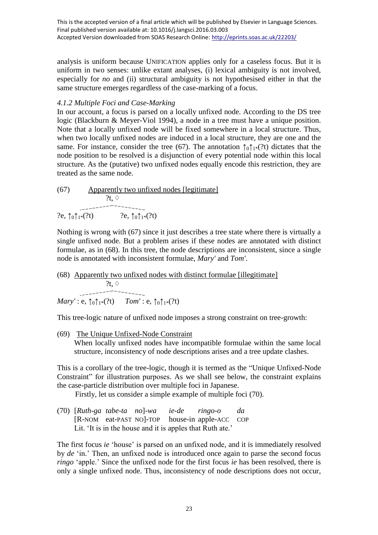analysis is uniform because UNIFICATION applies only for a caseless focus. But it is uniform in two senses: unlike extant analyses, (i) lexical ambiguity is not involved, especially for *no* and (ii) structural ambiguity is not hypothesised either in that the same structure emerges regardless of the case-marking of a focus.

### *4.1.2 Multiple Foci and Case-Marking*

In our account, a focus is parsed on a locally unfixed node. According to the DS tree logic (Blackburn & Meyer-Viol 1994), a node in a tree must have a unique position. Note that a locally unfixed node will be fixed somewhere in a local structure. Thus, when two locally unfixed nodes are induced in a local structure, they are one and the same. For instance, consider the tree [\(67\).](#page-22-1) The annotation  $\int_0 \int_{1}^{x} (2t)$  dictates that the node position to be resolved is a disjunction of every potential node within this local structure. As the (putative) two unfixed nodes equally encode this restriction, they are treated as the same node.

<span id="page-22-1"></span>(67) Apparently two unfixed nodes [legitimate]  $?t, \diamondsuit$ ?e,  $\uparrow$ <sub>0</sub> $\uparrow$ <sub>1\*</sub>(?t) ?e,  $\uparrow$ <sub>0</sub> $\uparrow$ <sub>1\*</sub>(?t)

Nothing is wrong with [\(67\)](#page-22-1) since it just describes a tree state where there is virtually a single unfixed node. But a problem arises if these nodes are annotated with distinct formulae, as in [\(68\).](#page-22-2) In this tree, the node descriptions are inconsistent, since a single node is annotated with inconsistent formulae, *Mary'* and *Tom'*.

<span id="page-22-2"></span>(68) Apparently two unfixed nodes with distinct formulae [illegitimate]  $?t,$   $\diamond$ *Mary'* : e,  $\uparrow$ <sub>0</sub>↑<sub>1</sub>\*(?t) *Tom'* : e,  $\uparrow$ <sub>0</sub>↑<sub>1</sub>\*(?t)

This tree-logic nature of unfixed node imposes a strong constraint on tree-growth:

<span id="page-22-4"></span><span id="page-22-0"></span>(69) The Unique Unfixed-Node Constraint When locally unfixed nodes have incompatible formulae within the same local structure, inconsistency of node descriptions arises and a tree update clashes.

This is a corollary of the tree-logic, though it is termed as the "Unique Unfixed-Node Constraint" for illustration purposes. As we shall see below, the constraint explains the case-particle distribution over multiple foci in Japanese.

Firstly, let us consider a simple example of multiple foci [\(70\).](#page-22-3)

<span id="page-22-3"></span>(70) [*Ruth-ga tabe-ta no*]-*wa ie-de ringo-o da* [R-NOM eat-PAST NO]-TOP house-in apple-ACC COP Lit. 'It is in the house and it is apples that Ruth ate.'

The first focus *ie* 'house' is parsed on an unfixed node, and it is immediately resolved by *de* "in." Then, an unfixed node is introduced once again to parse the second focus *ringo* "apple." Since the unfixed node for the first focus *ie* has been resolved, there is only a single unfixed node. Thus, inconsistency of node descriptions does not occur,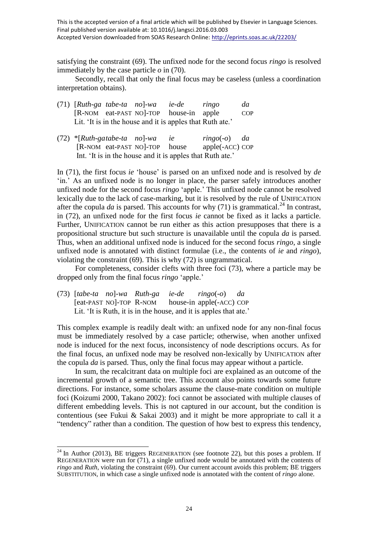satisfying the constraint [\(69\).](#page-22-0) The unfixed node for the second focus *ringo* is resolved immediately by the case particle *o* in [\(70\).](#page-22-3)

Secondly, recall that only the final focus may be caseless (unless a coordination interpretation obtains).

- <span id="page-23-1"></span>(71) [*Ruth-ga tabe-ta no*]-*wa ie-de ringo da* [R-NOM eat-PAST NO]-TOP house-in apple COP Lit. 'It is in the house and it is apples that Ruth ate.'
- <span id="page-23-2"></span>(72) \*[*Ruth-gatabe-ta no*]-*wa ie ringo*(*-o*) *da* [R-NOM eat-PAST NO]-TOP house apple(-ACC) COP Int. 'It is in the house and it is apples that Ruth ate.'

<span id="page-23-0"></span>In [\(71\),](#page-23-1) the first focus *ie* 'house' is parsed on an unfixed node and is resolved by *de* 'in.' As an unfixed node is no longer in place, the parser safely introduces another unfixed node for the second focus *ringo* "apple." This unfixed node cannot be resolved lexically due to the lack of case-marking, but it is resolved by the rule of UNIFICATION after the copula *da* is parsed. This accounts for why  $(71)$  is grammatical.<sup>24</sup> In contrast, in [\(72\),](#page-23-2) an unfixed node for the first focus *ie* cannot be fixed as it lacks a particle. Further, UNIFICATION cannot be run either as this action presupposes that there is a propositional structure but such structure is unavailable until the copula *da* is parsed. Thus, when an additional unfixed node is induced for the second focus *ringo*, a single unfixed node is annotated with distinct formulae (i.e., the contents of *ie* and *ringo*), violating the constraint [\(69\).](#page-22-4) This is why [\(72\)](#page-23-2) is ungrammatical.

For completeness, consider clefts with three foci [\(73\),](#page-23-3) where a particle may be dropped only from the final focus *ringo* "apple."

<span id="page-23-3"></span>(73) [*tabe-ta no*]-*wa Ruth-ga ie-de ringo*(-*o*) *da* [eat-PAST NO]-TOP R-NOM house-in apple(-ACC) COP Lit. 'It is Ruth, it is in the house, and it is apples that ate.'

 $\overline{\phantom{a}}$ 

This complex example is readily dealt with: an unfixed node for any non-final focus must be immediately resolved by a case particle; otherwise, when another unfixed node is induced for the next focus, inconsistency of node descriptions occurs. As for the final focus, an unfixed node may be resolved non-lexically by UNIFICATION after the copula *da* is parsed. Thus, only the final focus may appear without a particle.

In sum, the recalcitrant data on multiple foci are explained as an outcome of the incremental growth of a semantic tree. This account also points towards some future directions. For instance, some scholars assume the clause-mate condition on multiple foci (Koizumi 2000, Takano 2002): foci cannot be associated with multiple clauses of different embedding levels. This is not captured in our account, but the condition is contentious (see Fukui & Sakai 2003) and it might be more appropriate to call it a "tendency" rather than a condition. The question of how best to express this tendency,

 $24$  In Author (2013), BE triggers REGENERATION (see footnote [22\)](#page-20-1), but this poses a problem. If REGENERATION were run for [\(71\),](#page-23-1) a single unfixed node would be annotated with the contents of *ringo* and *Ruth*, violating the constraint [\(69\).](#page-22-0) Our current account avoids this problem; BE triggers SUBSTITUTION, in which case a single unfixed node is annotated with the content of *ringo* alone.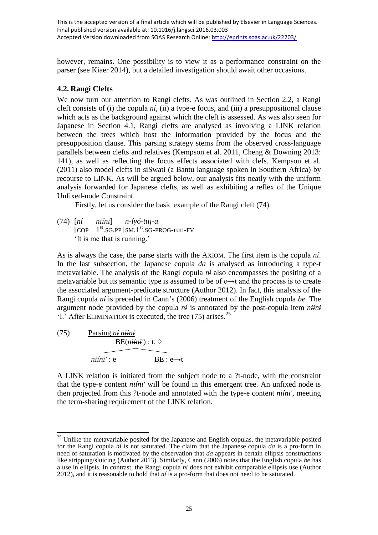however, remains. One possibility is to view it as a performance constraint on the parser (see Kiaer 2014), but a detailed investigation should await other occasions.

### **4.2. Rangi Clefts**

We now turn our attention to Rangi clefts. As was outlined in Section 2.2, a Rangi cleft consists of (i) the copula  $n\hat{i}$ , (ii) a type-e focus, and (iii) a presuppositional clause which acts as the background against which the cleft is assessed. As was also seen for Japanese in Section 4.1, Rangi clefts are analysed as involving a LINK relation between the trees which host the information provided by the focus and the presupposition clause. This parsing strategy stems from the observed cross-language parallels between clefts and relatives (Kempson et al. 2011, Cheng & Downing 2013: 141), as well as reflecting the focus effects associated with clefs. Kempson et al. (2011) also model clefts in siSwati (a Bantu language spoken in Southern Africa) by recourse to LINK. As will be argued below, our analysis fits neatly with the uniform analysis forwarded for Japanese clefts, as well as exhibiting a reflex of the Unique Unfixed-node Constraint.

Firstly, let us consider the basic example of the Rangi cleft [\(74\).](#page-24-0)

<span id="page-24-0"></span>(74) [*ní niíni*] *n-íyó-tiij-a*  $[$ COP  $1<sup>st</sup>$ .SG.PP $]$  SM. $1<sup>st</sup>$ .SG-PROG-run-FV 'It is me that is running.'

As is always the case, the parse starts with the AXIOM. The first item is the copula *ní*. In the last subsection, the Japanese copula *da* is analysed as introducing a type-t metavariable. The analysis of the Rangi copula *ní* also encompasses the positing of a metavariable but its semantic type is assumed to be of e→t and the process is to create the associated argument-predicate structure (Author 2012). In fact, this analysis of the Rangi copula *ní* is preceded in Cann"s (2006) treatment of the English copula *be*. The argument node provided by the copula *ní* is annotated by the post-copula item *niíni* 'I.' After ELIMINATION is executed, the tree  $(75)$  arises.<sup>25</sup>

<span id="page-24-1"></span>(75) 
$$
\underbrace{\frac{\text{Parsing } n \text{ if } n \text{ if } n \text{ if } n \text{ if } n \text{ if } n \text{ if } n \text{ if } n \text{ if } n \text{ if } n \text{ if } n \text{ if } n \text{ if } n \text{ if } n \text{ if } n \text{ if } n \text{ if } n \text{ if } n \text{ if } n \text{ if } n \text{ if } n \text{ if } n \text{ if } n \text{ if } n \text{ if } n \text{ if } n \text{ if } n \text{ if } n \text{ if } n \text{ if } n \text{ if } n \text{ if } n \text{ if } n \text{ if } n \text{ if } n \text{ if } n \text{ if } n \text{ if } n \text{ if } n \text{ if } n \text{ if } n \text{ if } n \text{ if } n \text{ if } n \text{ if } n \text{ if } n \text{ if } n \text{ if } n \text{ if } n \text{ if } n \text{ if } n \text{ if } n \text{ if } n \text{ if } n \text{ if } n \text{ if } n \text{ if } n \text{ if } n \text{ if } n \text{ if } n \text{ if } n \text{ if } n \text{ if } n \text{ if } n \text{ if } n \text{ if } n \text{ if } n \text{ if } n \text{ if } n \text{ if } n \text{ if } n \text{ if } n \text{ if } n \text{ if } n \text{ if } n \text{ if } n \text{ if } n \text{ if } n \text{ if } n \text{ if } n \text{ if } n \text{ if } n \text{ if } n \text{ if } n \text{ if } n \text{ if } n \text{ if } n \text{ if } n \text{ if } n \text{ if } n \text{ if } n \text{ if } n \text{ if } n \text{ if } n \text{ if } n \text{ if } n \text{ if } n \text{ if } n \text{ if } n \text{ if } n \text{ if } n \text{ if } n \text{ if } n \text{ if } n \text{ if } n \text{ if } n \text{ if } n \text{ if } n \text{ if } n \text{ if } n \text{ if } n \text{ if } n \text{ if } n \text{ if } n \text{ if } n \text{ if } n \text{ if } n \text{ if } n \text{ if } n \text{ if } n \text{ if } n \text{ if } n \text{ if } n \text{ if } n \text{ if } n
$$

A LINK relation is initiated from the subject node to a ?t-node, with the constraint that the type-e content *niíni'* will be found in this emergent tree. An unfixed node is then projected from this ?t-node and annotated with the type-e content *niíni'*, meeting the term-sharing requirement of the LINK relation.

 $\overline{\phantom{a}}$  $25$  Unlike the metavariable posited for the Japanese and English copulas, the metavariable posited for the Rangi copula *ní* is not saturated. The claim that the Japanese copula *da* is a pro-form in need of saturation is motivated by the observation that *da* appears in certain ellipsis constructions like stripping/sluicing (Author 2013). Similarly, Cann (2006) notes that the English copula *be* has a use in ellipsis. In contrast, the Rangi copula *ní* does not exhibit comparable ellipsis use (Author 2012), and it is reasonable to hold that *ní* is a pro-form that does not need to be saturated.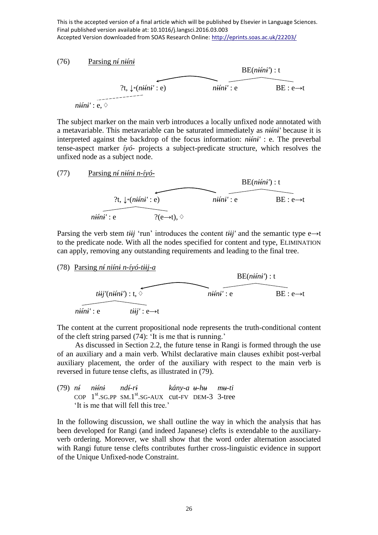<span id="page-25-1"></span>

The subject marker on the main verb introduces a locally unfixed node annotated with a metavariable. This metavariable can be saturated immediately as *niíni'* because it is interpreted against the backdrop of the focus information: *niíni'* : e. The preverbal tense-aspect marker *íyó-* projects a subject-predicate structure, which resolves the unfixed node as a subject node.

(77) 
$$
\underbrace{\text{Passing } n \text{ if } n \text{ if } n = f \text{ if } n \text{ if } n \text{ if } n \text{ if } n \text{ if } n \text{ if } n \text{ if } n \text{ if } n \text{ if } n \text{ if } n \text{ if } n \text{ if } n \text{ if } n \text{ if } n \text{ if } n \text{ if } n \text{ if } n \text{ if } n \text{ if } n \text{ if } n \text{ if } n \text{ if } n \text{ if } n \text{ if } n \text{ if } n \text{ if } n \text{ if } n \text{ if } n \text{ if } n \text{ if } n \text{ if } n \text{ if } n \text{ if } n \text{ if } n \text{ if } n \text{ if } n \text{ if } n \text{ if } n \text{ if } n \text{ if } n \text{ if } n \text{ if } n \text{ if } n \text{ if } n \text{ if } n \text{ if } n \text{ if } n \text{ if } n \text{ if } n \text{ if } n \text{ if } n \text{ if } n \text{ if } n \text{ if } n \text{ if } n \text{ if } n \text{ if } n \text{ if } n \text{ if } n \text{ if } n \text{ if } n \text{ if } n \text{ if } n \text{ if } n \text{ if } n \text{ if } n \text{ if } n \text{ if } n \text{ if } n \text{ if } n \text{ if } n \text{ if } n \text{ if } n \text{ if } n \text{ if } n \text{ if } n \text{ if } n \text{ if } n \text{ if } n \text{ if } n \text{ if } n \text{ if } n \text{ if } n \text{ if } n \text{ if } n \text{ if } n \text{ if } n \text{ if } n \text{ if } n \text{ if } n \text{ if } n \text{ if } n \text{ if } n \text{ if } n \text{ if } n \text{ if } n \text{ if } n \text{ if } n \text{ if } n \text{ if } n \text{ if } n \text{ if } n \text{ if } n \text{ if } n \text{ if } n \text{ if } n \text{ if } n \text{ if } n \text{ if } n \text{ if } n \text{ if } n \text{ if } n \text{ if } n \text{ if } n \text{ if } n \text{ if } n \text{ if } n \text{ if } n \text{ if } n \text{ if } n \text{ if } n \text{ if } n
$$

Parsing the verb stem  $t\ddot{t}$  "run" introduces the content  $t\ddot{t}$ " and the semantic type e $\rightarrow$ t to the predicate node. With all the nodes specified for content and type, ELIMINATION can apply, removing any outstanding requirements and leading to the final tree.

(78) Parsing *ní niíni n-íyó-tiij-a*



The content at the current propositional node represents the truth-conditional content of the cleft string parsed [\(74\):](#page-24-0) "It is me that is running."

As discussed in Section 2.2, the future tense in Rangi is formed through the use of an auxiliary and a main verb. Whilst declarative main clauses exhibit post-verbal auxiliary placement, the order of the auxiliary with respect to the main verb is reversed in future tense clefts, as illustrated in [\(79\).](#page-25-0)

<span id="page-25-0"></span>

|                                      | (79) ní n <del>ií</del> ni ndí-ri |                                                                    |  | kány-a <del>u</del> -h <del>u</del> m <del>u</del> -ti |  |
|--------------------------------------|-----------------------------------|--------------------------------------------------------------------|--|--------------------------------------------------------|--|
|                                      |                                   | COP $1^{st}$ .SG.PP SM.1 <sup>st</sup> .SG-AUX cut-FV DEM-3 3-tree |  |                                                        |  |
| 'It is me that will fell this tree.' |                                   |                                                                    |  |                                                        |  |

In the following discussion, we shall outline the way in which the analysis that has been developed for Rangi (and indeed Japanese) clefts is extendable to the auxiliaryverb ordering. Moreover, we shall show that the word order alternation associated with Rangi future tense clefts contributes further cross-linguistic evidence in support of the Unique Unfixed-node Constraint.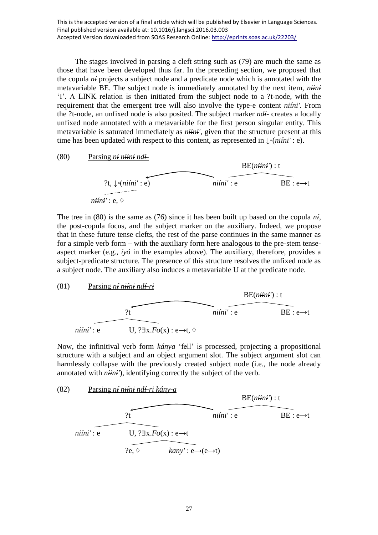The stages involved in parsing a cleft string such as [\(79\)](#page-25-0) are much the same as those that have been developed thus far. In the preceding section, we proposed that the copula *ní* projects a subject node and a predicate node which is annotated with the metavariable BE. The subject node is immediately annotated by the next item, *niíni* "I". A LINK relation is then initiated from the subject node to a ?t-node, with the requirement that the emergent tree will also involve the type-e content *niíni'*. From the ?t-node, an unfixed node is also posited. The subject marker *ndí-* creates a locally unfixed node annotated with a metavariable for the first person singular entity. This metavariable is saturated immediately as *niíni'*, given that the structure present at this time has been updated with respect to this content, as represented in ↓\*(*niíni'* : e).

<span id="page-26-0"></span>

The tree in [\(80\)](#page-26-0) is the same as [\(76\)](#page-25-1) since it has been built up based on the copula  $n\hat{t}$ , the post-copula focus, and the subject marker on the auxiliary. Indeed, we propose that in these future tense clefts, the rest of the parse continues in the same manner as for a simple verb form – with the auxiliary form here analogous to the pre-stem tenseaspect marker (e.g., *íyó* in the examples above). The auxiliary, therefore, provides a subject-predicate structure. The presence of this structure resolves the unfixed node as a subject node. The auxiliary also induces a metavariable U at the predicate node.



Now, the infinitival verb form *kánya* "fell" is processed, projecting a propositional structure with a subject and an object argument slot. The subject argument slot can harmlessly collapse with the previously created subject node (i.e., the node already annotated with *n<del>i</del>fni'*), identifying correctly the subject of the verb.

(82) Parsing *ní niíni ndí-ri kány-a* 

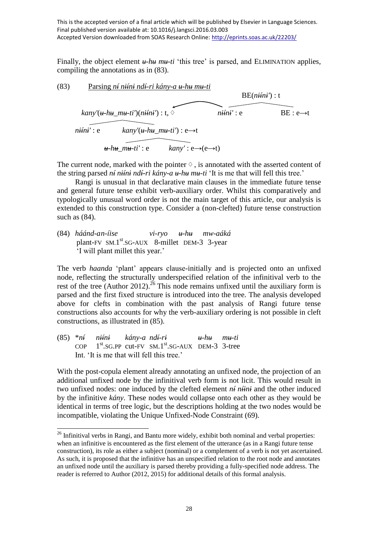Finally, the object element  $u$ -hu  $mu$ -ti 'this tree' is parsed, and ELIMINATION applies, compiling the annotations as in [\(83\).](#page-27-0)

<span id="page-27-0"></span>

The current node, marked with the pointer  $\diamond$ , is annotated with the asserted content of the string parsed *n<del>i</del> niini ndi-ri kány-a u-hu mu-ti* 'It is me that will fell this tree.'

Rangi is unusual in that declarative main clauses in the immediate future tense and general future tense exhibit verb-auxiliary order. Whilst this comparatively and typologically unusual word order is not the main target of this article, our analysis is extended to this construction type. Consider a (non-clefted) future tense construction such as [\(84\).](#page-27-1)

<span id="page-27-1"></span>(84) *háánd-an-íise vi-ryo u-hu mw-aáká* plant-FV SM.1<sup>st</sup>.SG-AUX 8-millet DEM-3 3-year "I will plant millet this year."

The verb *haanda* "plant" appears clause-initially and is projected onto an unfixed node, reflecting the structurally underspecified relation of the infinitival verb to the rest of the tree (Author 2012).<sup>26</sup> This node remains unfixed until the auxiliary form is parsed and the first fixed structure is introduced into the tree. The analysis developed above for clefts in combination with the past analysis of Rangi future tense constructions also accounts for why the verb-auxiliary ordering is not possible in cleft constructions, as illustrated in [\(85\).](#page-27-2)

<span id="page-27-2"></span>(85) \**ní niíni kány-a ndí-ri u-hu mu-ti*  $COP$  1<sup>st</sup>.SG.PP cut-FV SM.1<sup>st</sup>.SG-AUX DEM-3 3-tree Int. 'It is me that will fell this tree.'

 $\overline{a}$ 

With the post-copula element already annotating an unfixed node, the projection of an additional unfixed node by the infinitival verb form is not licit. This would result in two unfixed nodes: one induced by the clefted element *ní níini* and the other induced by the infinitive *kány*. These nodes would collapse onto each other as they would be identical in terms of tree logic, but the descriptions holding at the two nodes would be incompatible, violating the Unique Unfixed-Node Constraint [\(69\).](#page-22-0)

 $^{26}$  Infinitival verbs in Rangi, and Bantu more widely, exhibit both nominal and verbal properties: when an infinitive is encountered as the first element of the utterance (as in a Rangi future tense construction), its role as either a subject (nominal) or a complement of a verb is not yet ascertained. As such, it is proposed that the infinitive has an unspecified relation to the root node and annotates an unfixed node until the auxiliary is parsed thereby providing a fully-specified node address. The reader is referred to Author (2012, 2015) for additional details of this formal analysis.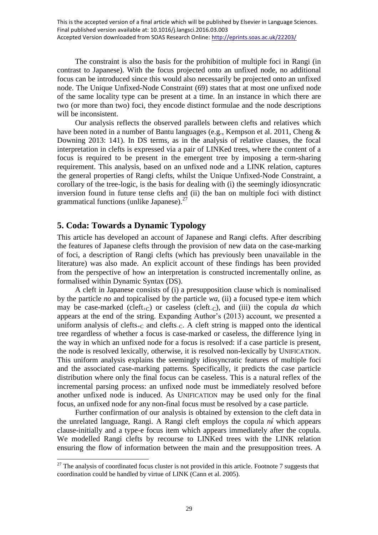The constraint is also the basis for the prohibition of multiple foci in Rangi (in contrast to Japanese). With the focus projected onto an unfixed node, no additional focus can be introduced since this would also necessarily be projected onto an unfixed node. The Unique Unfixed-Node Constraint [\(69\)](#page-22-0) states that at most one unfixed node of the same locality type can be present at a time. In an instance in which there are two (or more than two) foci, they encode distinct formulae and the node descriptions will be inconsistent.

Our analysis reflects the observed parallels between clefts and relatives which have been noted in a number of Bantu languages (e.g., Kempson et al. 2011, Cheng & Downing 2013: 141). In DS terms, as in the analysis of relative clauses, the focal interpretation in clefts is expressed via a pair of LINKed trees, where the content of a focus is required to be present in the emergent tree by imposing a term-sharing requirement. This analysis, based on an unfixed node and a LINK relation, captures the general properties of Rangi clefts, whilst the Unique Unfixed-Node Constraint, a corollary of the tree-logic, is the basis for dealing with (i) the seemingly idiosyncratic inversion found in future tense clefts and (ii) the ban on multiple foci with distinct grammatical functions (unlike Japanese).<sup>27</sup>

## **5. Coda: Towards a Dynamic Typology**

 $\overline{a}$ 

This article has developed an account of Japanese and Rangi clefts. After describing the features of Japanese clefts through the provision of new data on the case-marking of foci, a description of Rangi clefts (which has previously been unavailable in the literature) was also made. An explicit account of these findings has been provided from the perspective of how an interpretation is constructed incrementally online, as formalised within Dynamic Syntax (DS).

A cleft in Japanese consists of (i) a presupposition clause which is nominalised by the particle *no* and topicalised by the particle *wa*, (ii) a focused type-e item which may be case-marked (cleft<sub>+C</sub>) or caseless (cleft<sub>-C</sub>), and (iii) the copula  $da$  which appears at the end of the string. Expanding Author"s (2013) account, we presented a uniform analysis of clefts<sub>+C</sub> and clefts<sub>-C</sub>. A cleft string is mapped onto the identical tree regardless of whether a focus is case-marked or caseless, the difference lying in the way in which an unfixed node for a focus is resolved: if a case particle is present, the node is resolved lexically, otherwise, it is resolved non-lexically by UNIFICATION. This uniform analysis explains the seemingly idiosyncratic features of multiple foci and the associated case-marking patterns. Specifically, it predicts the case particle distribution where only the final focus can be caseless. This is a natural reflex of the incremental parsing process: an unfixed node must be immediately resolved before another unfixed node is induced. As UNIFICATION may be used only for the final focus, an unfixed node for any non-final focus must be resolved by a case particle.

Further confirmation of our analysis is obtained by extension to the cleft data in the unrelated language, Rangi. A Rangi cleft employs the copula *ní* which appears clause-initially and a type-e focus item which appears immediately after the copula. We modelled Rangi clefts by recourse to LINKed trees with the LINK relation ensuring the flow of information between the main and the presupposition trees. A

 $27$  The analysis of coordinated focus cluster is not provided in this article. Footnote [7](#page-6-2) suggests that coordination could be handled by virtue of LINK (Cann et al. 2005).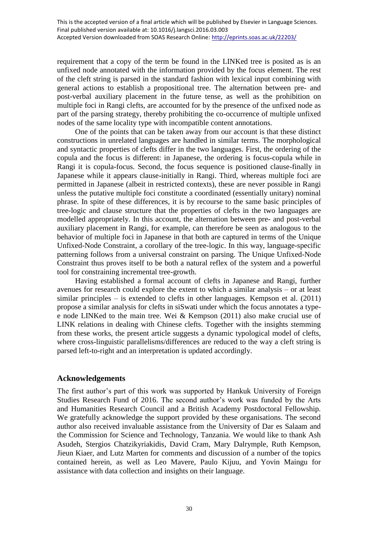requirement that a copy of the term be found in the LINKed tree is posited as is an unfixed node annotated with the information provided by the focus element. The rest of the cleft string is parsed in the standard fashion with lexical input combining with general actions to establish a propositional tree. The alternation between pre- and post-verbal auxiliary placement in the future tense, as well as the prohibition on multiple foci in Rangi clefts, are accounted for by the presence of the unfixed node as part of the parsing strategy, thereby prohibiting the co-occurrence of multiple unfixed nodes of the same locality type with incompatible content annotations.

One of the points that can be taken away from our account is that these distinct constructions in unrelated languages are handled in similar terms. The morphological and syntactic properties of clefts differ in the two languages. First, the ordering of the copula and the focus is different: in Japanese, the ordering is focus-copula while in Rangi it is copula-focus. Second, the focus sequence is positioned clause-finally in Japanese while it appears clause-initially in Rangi. Third, whereas multiple foci are permitted in Japanese (albeit in restricted contexts), these are never possible in Rangi unless the putative multiple foci constitute a coordinated (essentially unitary) nominal phrase. In spite of these differences, it is by recourse to the same basic principles of tree-logic and clause structure that the properties of clefts in the two languages are modelled appropriately. In this account, the alternation between pre- and post-verbal auxiliary placement in Rangi, for example, can therefore be seen as analogous to the behavior of multiple foci in Japanese in that both are captured in terms of the Unique Unfixed-Node Constraint, a corollary of the tree-logic. In this way, language-specific patterning follows from a universal constraint on parsing. The Unique Unfixed-Node Constraint thus proves itself to be both a natural reflex of the system and a powerful tool for constraining incremental tree-growth.

Having established a formal account of clefts in Japanese and Rangi, further avenues for research could explore the extent to which a similar analysis – or at least similar principles – is extended to clefts in other languages. Kempson et al. (2011) propose a similar analysis for clefts in siSwati under which the focus annotates a typee node LINKed to the main tree. Wei & Kempson (2011) also make crucial use of LINK relations in dealing with Chinese clefts. Together with the insights stemming from these works, the present article suggests a dynamic typological model of clefts, where cross-linguistic parallelisms/differences are reduced to the way a cleft string is parsed left-to-right and an interpretation is updated accordingly.

### **Acknowledgements**

The first author"s part of this work was supported by Hankuk University of Foreign Studies Research Fund of 2016. The second author"s work was funded by the Arts and Humanities Research Council and a British Academy Postdoctoral Fellowship. We gratefully acknowledge the support provided by these organisations. The second author also received invaluable assistance from the University of Dar es Salaam and the Commission for Science and Technology, Tanzania. We would like to thank Ash Asudeh, Stergios Chatzikyriakidis, David Cram, Mary Dalrymple, Ruth Kempson, Jieun Kiaer, and Lutz Marten for comments and discussion of a number of the topics contained herein, as well as Leo Mavere, Paulo Kijuu, and Yovin Maingu for assistance with data collection and insights on their language.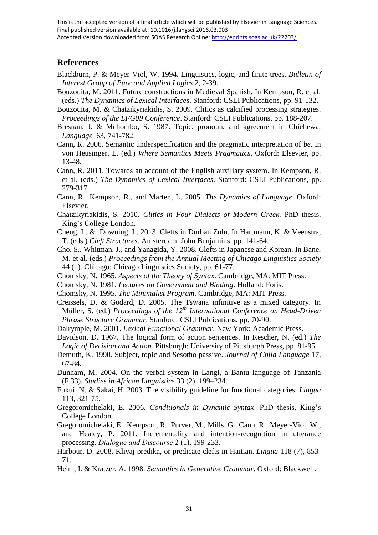## **References**

- Blackburn, P. & Meyer-Viol, W. 1994. Linguistics, logic, and finite trees. *Bulletin of Interest Group of Pure and Applied Logics* 2, 2-39.
- Bouzouita, M. 2011. Future constructions in Medieval Spanish. In Kempson, R. et al. (eds.) *The Dynamics of Lexical Interfaces*. Stanford: CSLI Publications, pp. 91-132.
- Bouzouita, M. & Chatzikyriakidis, S. 2009. Clitics as calcified processing strategies. *Proceedings of the LFG09 Conference*. Stanford: CSLI Publications, pp. 188-207.
- Bresnan, J. & Mchombo, S. 1987. Topic, pronoun, and agreement in Chichewa. *Language* 63, 741-782.
- Cann, R. 2006. Semantic underspecification and the pragmatic interpretation of *be*. In von Heusinger, L. (ed.) *Where Semantics Meets Pragmatics*. Oxford: Elsevier, pp. 13-48.
- Cann, R. 2011. Towards an account of the English auxiliary system. In Kempson, R. et al. (eds.) *The Dynamics of Lexical Interfaces*. Stanford: CSLI Publications, pp. 279-317.
- Cann, R., Kempson, R., and Marten, L. 2005. *The Dynamics of Language*. Oxford: Elsevier.
- Chatzikyriakidis, S. 2010. *Clitics in Four Dialects of Modern Greek*. PhD thesis, King"s College London.
- Cheng, L. & Downing, L. 2013. Clefts in Durban Zulu. In Hartmann, K. & Veenstra, T. (eds.) *Cleft Structures*. Amsterdam: John Benjamins, pp. 141-64.
- Cho, S., Whitman, J., and Yanagida, Y. 2008. Clefts in Japanese and Korean. In Bane, M. et al. (eds.) *Proceedings from the Annual Meeting of Chicago Linguistics Society*  44 (1). Chicago: Chicago Linguistics Society, pp. 61-77.
- Chomsky, N. 1965. *Aspects of the Theory of Syntax*. Cambridge, MA: MIT Press.
- Chomsky, N. 1981. *Lectures on Government and Binding*. Holland: Foris.
- Chomsky, N. 1995. *The Minimalist Program*. Cambridge, MA: MIT Press.
- Creissels, D. & Godard, D. 2005. The Tswana infinitive as a mixed category. In Müller, S. (ed.) *Proceedings of the 12th International Conference on Head-Driven Phrase Structure Grammar*. Stanford: CSLI Publications, pp. 70-90.
- Dalrymple, M. 2001. *Lexical Functional Grammar*. New York: Academic Press.
- Davidson, D. 1967. The logical form of action sentences. In Rescher, N. (ed.) *The Logic of Decision and Action.* Pittsburgh: University of Pittsburgh Press, pp. 81-95.
- Demuth, K. 1990. Subject, topic and Sesotho passive. *Journal of Child Language* 17, 67-84.
- Dunham, M. 2004. On the verbal system in Langi, a Bantu language of Tanzania (F.33). *Studies in African Linguistics* 33 (2), 199–234.
- Fukui, N. & Sakai, H. 2003. The visibility guideline for functional categories. *Lingua* 113, 321-75.
- Gregoromichelaki, E. 2006. *Conditionals in Dynamic Syntax*. PhD thesis, King"s College London.
- Gregoromichelaki, E., Kempson, R., Purver, M., Mills, G., Cann, R., Meyer-Viol, W., and Healey, P. 2011. Incrementality and intention-recognition in utterance processing. *Dialogue and Discourse* 2 (1), 199-233.
- Harbour, D. 2008. Klivaj predika, or predicate clefts in Haitian. *Lingua* 118 (7), 853- 71.
- Heim, I. & Kratzer, A. 1998. *Semantics in Generative Grammar*. Oxford: Blackwell.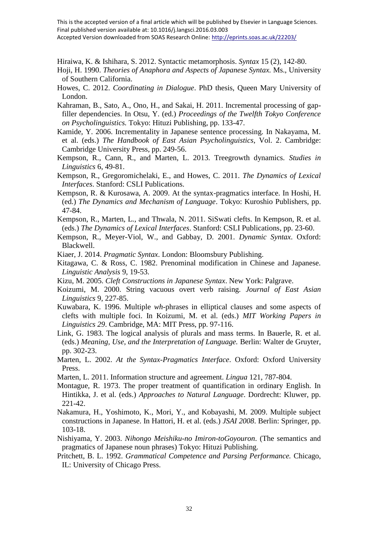Hiraiwa, K. & Ishihara, S. 2012. Syntactic metamorphosis. *Syntax* 15 (2), 142-80.

- Hoji, H. 1990. *Theories of Anaphora and Aspects of Japanese Syntax.* Ms., University of Southern California.
- Howes, C. 2012. *Coordinating in Dialogue*. PhD thesis, Queen Mary University of London.
- Kahraman, B., Sato, A., Ono, H., and Sakai, H. 2011. Incremental processing of gapfiller dependencies. In Otsu, Y. (ed.) *Proceedings of the Twelfth Tokyo Conference on Psycholinguistics.* Tokyo: Hituzi Publishing, pp. 133-47.
- Kamide, Y. 2006. Incrementality in Japanese sentence processing. In Nakayama, M. et al. (eds.) *The Handbook of East Asian Psycholinguistics*, Vol. 2. Cambridge: Cambridge University Press, pp. 249-56.
- Kempson, R., Cann, R., and Marten, L. 2013. Treegrowth dynamics. *Studies in Linguistics* 6, 49-81.
- Kempson, R., Gregoromichelaki, E., and Howes, C. 2011. *The Dynamics of Lexical Interfaces*. Stanford: CSLI Publications.
- Kempson, R. & Kurosawa, A. 2009. At the syntax-pragmatics interface. In Hoshi, H. (ed.) *The Dynamics and Mechanism of Language*. Tokyo: Kuroshio Publishers, pp. 47-84.
- Kempson, R., Marten, L., and Thwala, N. 2011. SiSwati clefts. In Kempson, R. et al. (eds.) *The Dynamics of Lexical Interfaces*. Stanford: CSLI Publications, pp. 23-60.
- Kempson, R., Meyer-Viol, W., and Gabbay, D. 2001. *Dynamic Syntax*. Oxford: Blackwell.
- Kiaer, J. 2014. *Pragmatic Syntax*. London: Bloomsbury Publishing.
- Kitagawa, C. & Ross, C. 1982. Prenominal modification in Chinese and Japanese. *Linguistic Analysis* 9, 19-53.
- Kizu, M. 2005. *Cleft Constructions in Japanese Syntax*. New York: Palgrave.
- Koizumi, M. 2000. String vacuous overt verb raising. *Journal of East Asian Linguistics* 9, 227-85.
- Kuwabara, K. 1996. Multiple *wh*-phrases in elliptical clauses and some aspects of clefts with multiple foci. In Koizumi, M. et al. (eds.) *MIT Working Papers in Linguistics 29*. Cambridge, MA: MIT Press, pp. 97-116.
- Link, G. 1983. The logical analysis of plurals and mass terms. In Bauerle, R. et al. (eds.) *Meaning, Use, and the Interpretation of Language.* Berlin: Walter de Gruyter, pp. 302-23.
- Marten, L. 2002. *At the Syntax-Pragmatics Interface*. Oxford: Oxford University Press.
- Marten, L. 2011. Information structure and agreement. *Lingua* 121, 787-804.
- Montague, R. 1973. The proper treatment of quantification in ordinary English. In Hintikka, J. et al. (eds.) *Approaches to Natural Language*. Dordrecht: Kluwer, pp. 221-42.
- Nakamura, H., Yoshimoto, K., Mori, Y., and Kobayashi, M. 2009. Multiple subject constructions in Japanese. In Hattori, H. et al. (eds.) *JSAI 2008*. Berlin: Springer, pp. 103-18.
- Nishiyama, Y. 2003. *Nihongo Meishiku-no Imiron-toGoyouron*. (The semantics and pragmatics of Japanese noun phrases) Tokyo: Hituzi Publishing.
- Pritchett, B. L. 1992. *Grammatical Competence and Parsing Performance.* Chicago, IL: University of Chicago Press.